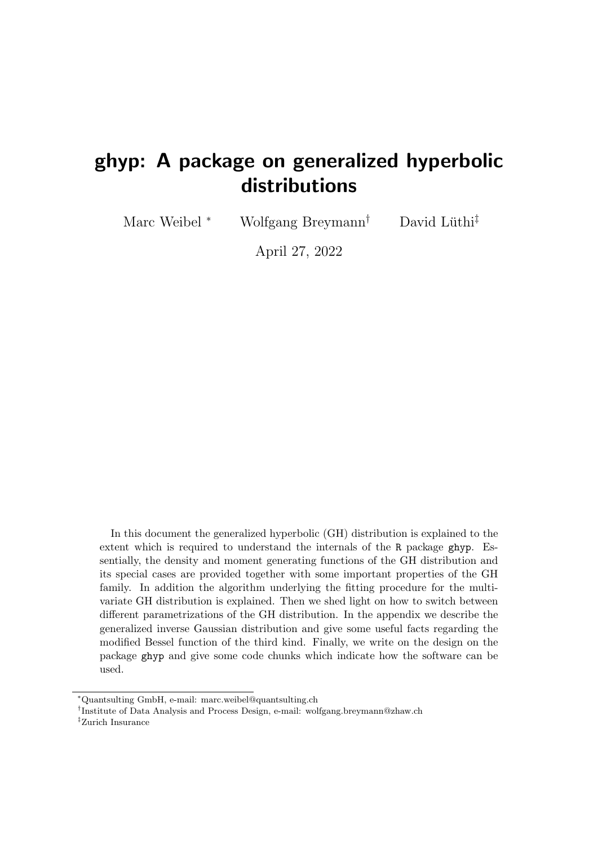# ghyp: A package on generalized hyperbolic distributions

Marc Weibel  $*$  Wolfgang Breymann<sup>†</sup>

David Lüthi<sup>‡</sup>

April 27, 2022

In this document the generalized hyperbolic (GH) distribution is explained to the extent which is required to understand the internals of the R package ghyp. Essentially, the density and moment generating functions of the GH distribution and its special cases are provided together with some important properties of the GH family. In addition the algorithm underlying the fitting procedure for the multivariate GH distribution is explained. Then we shed light on how to switch between different parametrizations of the GH distribution. In the appendix we describe the generalized inverse Gaussian distribution and give some useful facts regarding the modified Bessel function of the third kind. Finally, we write on the design on the package ghyp and give some code chunks which indicate how the software can be used.

‡Zurich Insurance

<sup>∗</sup>Quantsulting GmbH, e-mail: marc.weibel@quantsulting.ch

<sup>†</sup> Institute of Data Analysis and Process Design, e-mail: wolfgang.breymann@zhaw.ch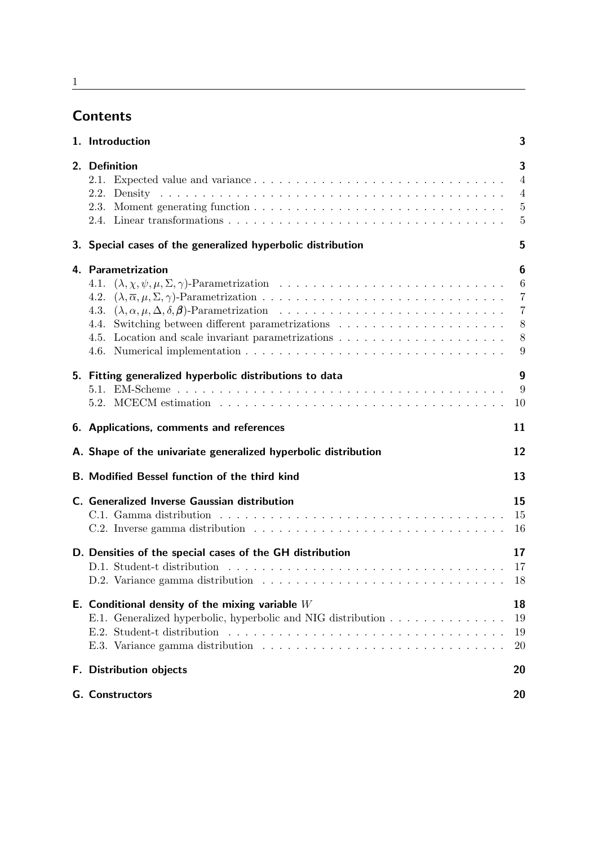# **Contents**

| 1. Introduction                                                                                                                                                                                                                        | 3                                                         |
|----------------------------------------------------------------------------------------------------------------------------------------------------------------------------------------------------------------------------------------|-----------------------------------------------------------|
| 2. Definition<br>2.2.                                                                                                                                                                                                                  | 3<br>$\overline{4}$<br>$\overline{4}$<br>5<br>5           |
| 3. Special cases of the generalized hyperbolic distribution                                                                                                                                                                            | 5                                                         |
| 4. Parametrization<br>4.3.<br>4.4.                                                                                                                                                                                                     | 6<br>6<br>$\overline{7}$<br>$\overline{7}$<br>8<br>8<br>9 |
| 5. Fitting generalized hyperbolic distributions to data                                                                                                                                                                                | 9<br>9<br>10                                              |
| 6. Applications, comments and references                                                                                                                                                                                               | 11                                                        |
| A. Shape of the univariate generalized hyperbolic distribution                                                                                                                                                                         | 12                                                        |
| <b>B. Modified Bessel function of the third kind</b>                                                                                                                                                                                   | 13                                                        |
| C. Generalized Inverse Gaussian distribution                                                                                                                                                                                           | 15<br>15<br>16                                            |
| D. Densities of the special cases of the GH distribution                                                                                                                                                                               | 17<br>17<br>18                                            |
| E. Conditional density of the mixing variable $W$<br>E.1. Generalized hyperbolic, hyperbolic and NIG distribution<br>E.2. Student-t distribution $\ldots \ldots \ldots \ldots \ldots \ldots \ldots \ldots \ldots \ldots \ldots \ldots$ | 18<br>19<br>19<br><b>20</b>                               |
| <b>F.</b> Distribution objects                                                                                                                                                                                                         | 20                                                        |
| <b>G.</b> Constructors                                                                                                                                                                                                                 | 20                                                        |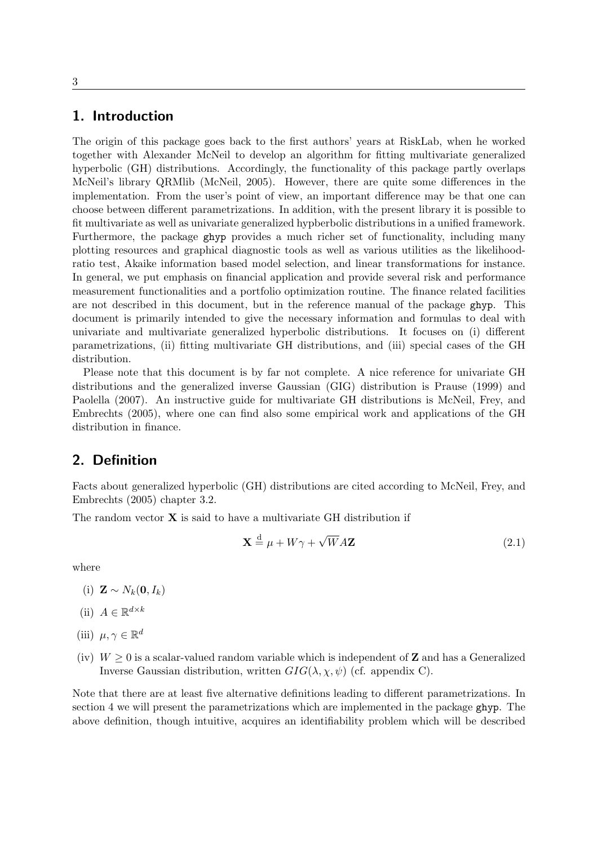### <span id="page-3-0"></span>1. Introduction

The origin of this package goes back to the first authors' years at RiskLab, when he worked together with Alexander McNeil to develop an algorithm for fitting multivariate generalized hyperbolic (GH) distributions. Accordingly, the functionality of this package partly overlaps McNeil's library QRMlib [\(McNeil,](#page-26-0) [2005\)](#page-26-0). However, there are quite some differences in the implementation. From the user's point of view, an important difference may be that one can choose between different parametrizations. In addition, with the present library it is possible to fit multivariate as well as univariate generalized hypberbolic distributions in a unified framework. Furthermore, the package ghyp provides a much richer set of functionality, including many plotting resources and graphical diagnostic tools as well as various utilities as the likelihoodratio test, Akaike information based model selection, and linear transformations for instance. In general, we put emphasis on financial application and provide several risk and performance measurement functionalities and a portfolio optimization routine. The finance related facilities are not described in this document, but in the reference manual of the package ghyp. This document is primarily intended to give the necessary information and formulas to deal with univariate and multivariate generalized hyperbolic distributions. It focuses on (i) different parametrizations, (ii) fitting multivariate GH distributions, and (iii) special cases of the GH distribution.

Please note that this document is by far not complete. A nice reference for univariate GH distributions and the generalized inverse Gaussian (GIG) distribution is [Prause](#page-27-0) [\(1999\)](#page-27-0) and [Paolella](#page-26-1) [\(2007\)](#page-26-1). An instructive guide for multivariate GH distributions is [McNeil, Frey, and](#page-26-2) [Embrechts](#page-26-2) [\(2005\)](#page-26-2), where one can find also some empirical work and applications of the GH distribution in finance.

# <span id="page-3-1"></span>2. Definition

Facts about generalized hyperbolic (GH) distributions are cited according to [McNeil, Frey, and](#page-26-2) [Embrechts](#page-26-2) [\(2005\)](#page-26-2) chapter 3*.*2.

The random vector **X** is said to have a multivariate GH distribution if

$$
\mathbf{X} \stackrel{\text{d}}{=} \mu + W\gamma + \sqrt{W}A\mathbf{Z}
$$
 (2.1)

where

- $(i)$  **Z** ∼  $N_k$ **(0***, I<sub>k</sub>*)
- (ii)  $A \in \mathbb{R}^{d \times k}$
- (iii)  $\mu, \gamma \in \mathbb{R}^d$
- (iv)  $W \geq 0$  is a scalar-valued random variable which is independent of **Z** and has a Generalized Inverse Gaussian distribution, written  $GIG(\lambda, \chi, \psi)$  (cf. appendix [C\)](#page-15-0).

Note that there are at least five alternative definitions leading to different parametrizations. In section [4](#page-6-0) we will present the parametrizations which are implemented in the package ghyp. The above definition, though intuitive, acquires an identifiability problem which will be described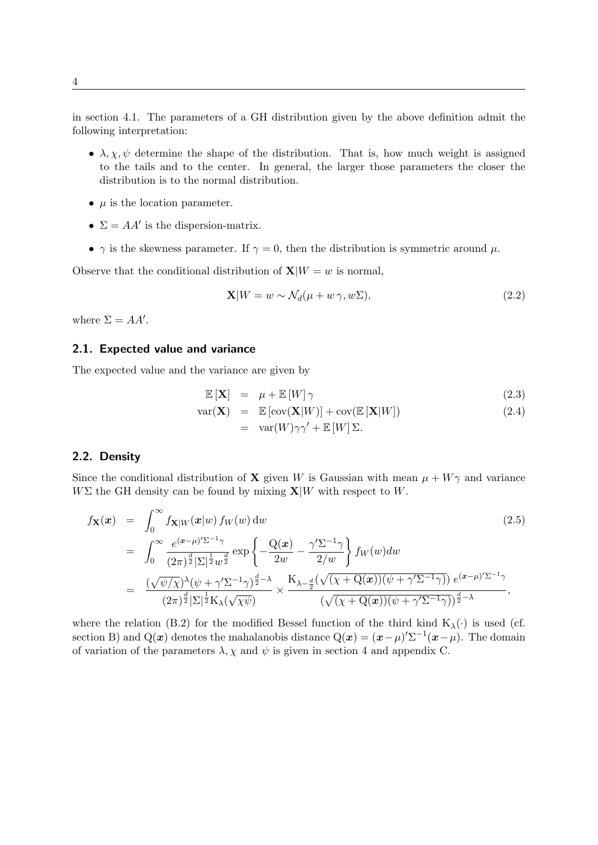in section [4.1.](#page-6-1) The parameters of a GH distribution given by the above definition admit the following interpretation:

- $\lambda, \chi, \psi$  determine the shape of the distribution. That is, how much weight is assigned to the tails and to the center. In general, the larger those parameters the closer the distribution is to the normal distribution.
- $\mu$  is the location parameter.
- $\Sigma = AA'$  is the dispersion-matrix.
- $\gamma$  is the skewness parameter. If  $\gamma = 0$ , then the distribution is symmetric around  $\mu$ .

Observe that the conditional distribution of  $\mathbf{X}|W = w$  is normal,

<span id="page-4-2"></span>
$$
\mathbf{X}|W = w \sim \mathcal{N}_d(\mu + w \gamma, w\Sigma),\tag{2.2}
$$

where  $\Sigma = AA'$ .

#### <span id="page-4-0"></span>2.1. Expected value and variance

The expected value and the variance are given by

$$
\mathbb{E}\left[\mathbf{X}\right] = \mu + \mathbb{E}\left[W\right]\gamma \tag{2.3}
$$

$$
var(\mathbf{X}) = \mathbb{E} [\text{cov}(\mathbf{X}|W)] + cov(\mathbb{E} [\mathbf{X}|W])
$$
  
= 
$$
var(W)\gamma\gamma' + \mathbb{E} [W] \Sigma.
$$
 (2.4)

#### <span id="page-4-1"></span>2.2. Density

Since the conditional distribution of **X** given *W* is Gaussian with mean  $\mu + W\gamma$  and variance  $W\Sigma$  the GH density can be found by mixing  $\mathbf{X}|W$  with respect to *W*.

<span id="page-4-3"></span>
$$
f_{\mathbf{X}}(\boldsymbol{x}) = \int_0^\infty f_{\mathbf{X}|W}(\boldsymbol{x}|w) f_W(w) dw
$$
\n
$$
= \int_0^\infty \frac{e^{(\boldsymbol{x}-\mu)'\Sigma^{-1}\gamma}}{(2\pi)^{\frac{d}{2}}|\Sigma|^{\frac{1}{2}}w^{\frac{d}{2}}} exp\left\{-\frac{Q(\boldsymbol{x})}{2w} - \frac{\gamma'\Sigma^{-1}\gamma}{2/w}\right\} f_W(w) dw
$$
\n
$$
= \frac{(\sqrt{\psi/\chi})^{\lambda}(\psi + \gamma'\Sigma^{-1}\gamma)^{\frac{d}{2}-\lambda}}{(2\pi)^{\frac{d}{2}}|\Sigma|^{\frac{1}{2}}K_{\lambda}(\sqrt{\chi\psi})} \times \frac{K_{\lambda-\frac{d}{2}}(\sqrt{(\chi + Q(\boldsymbol{x}))(\psi + \gamma'\Sigma^{-1}\gamma)}) e^{(\boldsymbol{x}-\mu)'\Sigma^{-1}\gamma}}{(\sqrt{(\chi + Q(\boldsymbol{x}))(\psi + \gamma'\Sigma^{-1}\gamma)})^{\frac{d}{2}-\lambda}},
$$
\n(2.5)

where the relation [\(B.2\)](#page-13-1) for the modified Bessel function of the third kind  $K_{\lambda}(\cdot)$  is used (cf. section [B\)](#page-13-0) and Q(*x*) denotes the mahalanobis distance  $Q(x) = (x - \mu)' \Sigma^{-1} (x - \mu)$ . The domain of variation of the parameters  $\lambda$ ,  $\chi$  and  $\psi$  is given in section [4](#page-6-0) and appendix [C.](#page-15-0)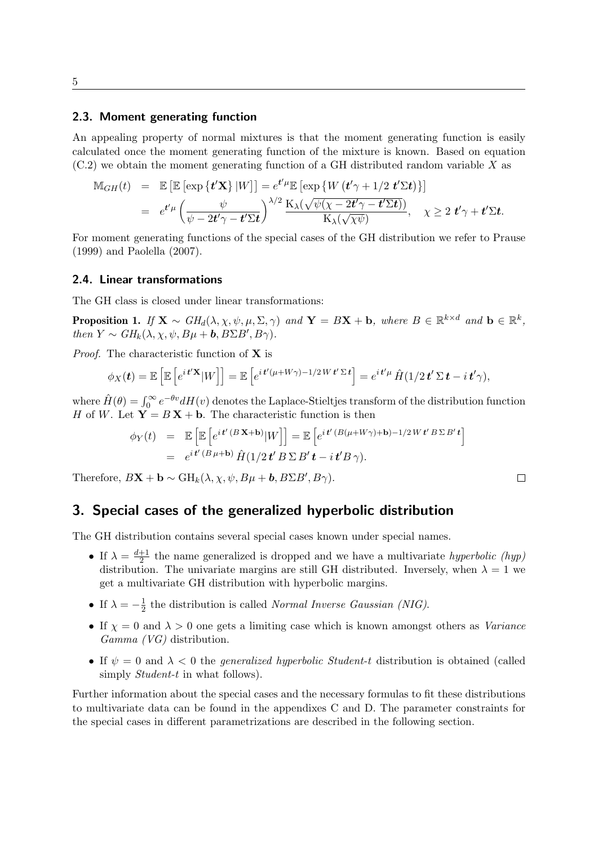### <span id="page-5-0"></span>2.3. Moment generating function

An appealing property of normal mixtures is that the moment generating function is easily calculated once the moment generating function of the mixture is known. Based on equation [\(C.2\)](#page-15-2) we obtain the moment generating function of a GH distributed random variable *X* as

$$
\mathbb{M}_{GH}(t) = \mathbb{E} \left[ \mathbb{E} \left[ \exp \left\{ \mathbf{t}' \mathbf{X} \right\} |W \right] \right] = e^{\mathbf{t}' \mu} \mathbb{E} \left[ \exp \left\{ W \left( \mathbf{t}' \gamma + 1/2 \mathbf{t}' \Sigma \mathbf{t} \right) \right\} \right] \n= e^{\mathbf{t}' \mu} \left( \frac{\psi}{\psi - 2\mathbf{t}'\gamma - \mathbf{t}' \Sigma \mathbf{t}} \right)^{\lambda/2} \frac{\mathbf{K}_{\lambda}(\sqrt{\psi(\chi - 2\mathbf{t}'\gamma - \mathbf{t}' \Sigma \mathbf{t})})}{\mathbf{K}_{\lambda}(\sqrt{\chi \psi})}, \quad \chi \geq 2 \mathbf{t}' \gamma + \mathbf{t}' \Sigma \mathbf{t}.
$$

For moment generating functions of the special cases of the GH distribution we refer to [Prause](#page-27-0) [\(1999\)](#page-27-0) and [Paolella](#page-26-1) [\(2007\)](#page-26-1).

### <span id="page-5-1"></span>2.4. Linear transformations

The GH class is closed under linear transformations:

**Proposition 1.** If  $\mathbf{X} \sim GH_d(\lambda, \chi, \psi, \mu, \Sigma, \gamma)$  and  $\mathbf{Y} = B\mathbf{X} + \mathbf{b}$ , where  $B \in \mathbb{R}^{k \times d}$  and  $\mathbf{b} \in \mathbb{R}^k$ , then  $Y \sim GH_k(\lambda, \chi, \psi, B\mu + \mathbf{b}, B\Sigma B', B\gamma)$ .

Proof. The characteristic function of **X** is

$$
\phi_X(\mathbf{t}) = \mathbb{E}\left[\mathbb{E}\left[e^{i \mathbf{t}'\mathbf{X}}|W\right]\right] = \mathbb{E}\left[e^{i \mathbf{t}'(\mu + W\gamma) - 1/2 W \mathbf{t}' \Sigma \mathbf{t}}\right] = e^{i \mathbf{t}'\mu} \hat{H}(1/2 \mathbf{t}' \Sigma \mathbf{t} - i \mathbf{t}'\gamma),
$$

where  $\hat{H}(\theta) = \int_0^\infty e^{-\theta v} dH(v)$  denotes the Laplace-Stieltjes transform of the distribution function *H* of *W*. Let  $Y = B X + b$ . The characteristic function is then

$$
\begin{array}{rcl}\n\phi_Y(t) & = & \mathbb{E}\left[\mathbb{E}\left[e^{it'(B\mathbf{X}+\mathbf{b})}|W\right]\right] = \mathbb{E}\left[e^{it'(B(\mu+W\gamma)+\mathbf{b})-1/2Wt'B\Sigma B't}\right] \\
& = & e^{it'(B\mu+\mathbf{b})}\hat{H}(1/2t'B\Sigma B't-i t'B\gamma).\n\end{array}
$$

Therefore,  $B\mathbf{X} + \mathbf{b} \sim \text{GH}_k(\lambda, \chi, \psi, B\mu + \mathbf{b}, B\Sigma B', B\gamma)$ .

# <span id="page-5-2"></span>3. Special cases of the generalized hyperbolic distribution

The GH distribution contains several special cases known under special names.

- If  $\lambda = \frac{d+1}{2}$  $\frac{+1}{2}$  the name generalized is dropped and we have a multivariate *hyperbolic* (*hyp*) distribution. The univariate margins are still GH distributed. Inversely, when  $\lambda = 1$  we get a multivariate GH distribution with hyperbolic margins.
- If  $\lambda = -\frac{1}{2}$  $\frac{1}{2}$  the distribution is called *Normal Inverse Gaussian (NIG)*.
- If  $\chi = 0$  and  $\lambda > 0$  one gets a limiting case which is known amongst others as Variance Gamma (VG) distribution.
- If  $\psi = 0$  and  $\lambda < 0$  the *generalized hyperbolic Student-t* distribution is obtained (called simply *Student-t* in what follows).

Further information about the special cases and the necessary formulas to fit these distributions to multivariate data can be found in the appendixes [C](#page-15-0) and [D.](#page-17-0) The parameter constraints for the special cases in different parametrizations are described in the following section.

 $\Box$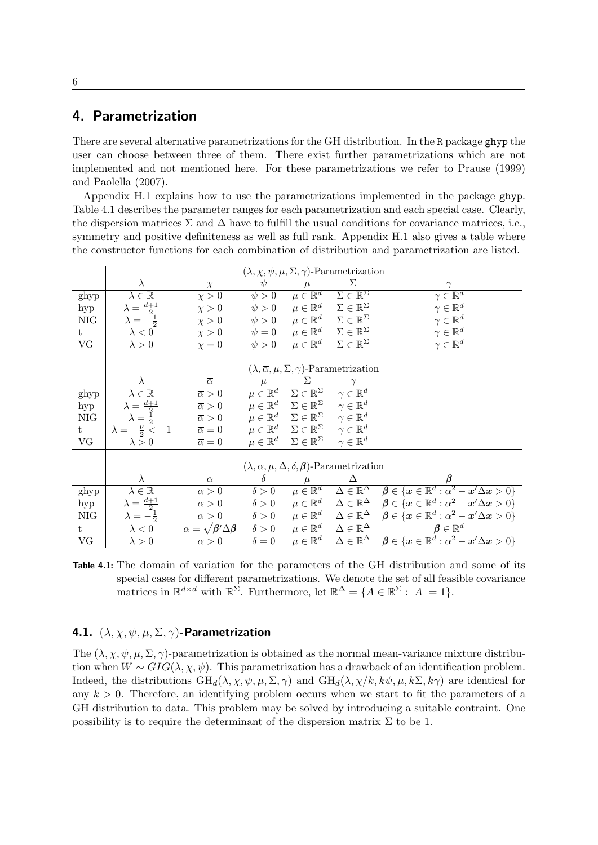# <span id="page-6-0"></span>4. Parametrization

There are several alternative parametrizations for the GH distribution. In the R package ghyp the user can choose between three of them. There exist further parametrizations which are not implemented and not mentioned here. For these parametrizations we refer to [Prause](#page-27-0) [\(1999\)](#page-27-0) and [Paolella](#page-26-1) [\(2007\)](#page-26-1).

Appendix [H.1](#page-21-1) explains how to use the parametrizations implemented in the package ghyp. Table [4.1](#page-6-2) describes the parameter ranges for each parametrization and each special case. Clearly, the dispersion matrices  $\Sigma$  and  $\Delta$  have to fulfill the usual conditions for covariance matrices, i.e., symmetry and positive definiteness as well as full rank. Appendix [H.1](#page-21-1) also gives a table where the constructor functions for each combination of distribution and parametrization are listed.

|      | $(\lambda, \chi, \psi, \mu, \Sigma, \gamma)$ -Parametrization        |                                                               |              |                                                                                   |                                                         |                                                                                                                                                                                  |  |
|------|----------------------------------------------------------------------|---------------------------------------------------------------|--------------|-----------------------------------------------------------------------------------|---------------------------------------------------------|----------------------------------------------------------------------------------------------------------------------------------------------------------------------------------|--|
|      | $\lambda$                                                            | $\chi$                                                        | $\psi$       |                                                                                   | Σ                                                       | $\gamma$                                                                                                                                                                         |  |
| ghyp | $\lambda \in \mathbb{R}$                                             | $\chi > 0$                                                    | $\psi > 0$   |                                                                                   | $\mu \in \mathbb{R}^d$ $\Sigma \in \mathbb{R}^{\Sigma}$ | $\gamma \in \mathbb{R}^d$                                                                                                                                                        |  |
| hyp  | $\lambda = \frac{d+1}{2}$                                            | $\chi > 0$                                                    |              | $\psi > 0 \quad \mu \in \mathbb{R}^d$                                             | $\Sigma \in \mathbb{R}^{\Sigma}$                        | $\gamma \in \mathbb{R}^d$                                                                                                                                                        |  |
| NIG  | $\lambda = -\frac{1}{2}$                                             | $\chi > 0$                                                    |              | $\psi > 0 \quad \mu \in \mathbb{R}^d \quad \Sigma \in \mathbb{R}^{\Sigma}$        |                                                         | $\gamma \in \mathbb{R}^d$                                                                                                                                                        |  |
| t    | $\lambda < 0$                                                        | $\chi > 0$                                                    |              | $\psi = 0 \qquad \mu \in \mathbb{R}^d \qquad \Sigma \in \mathbb{R}^\Sigma$        |                                                         | $\gamma \in \mathbb{R}^d$                                                                                                                                                        |  |
| VG   | $\lambda > 0$                                                        | $\chi = 0$                                                    | $\psi > 0$   | $\mu \in \mathbb{R}^d$ $\Sigma \in \mathbb{R}^{\Sigma}$                           |                                                         | $\gamma \in \mathbb{R}^d$                                                                                                                                                        |  |
|      |                                                                      |                                                               |              |                                                                                   |                                                         |                                                                                                                                                                                  |  |
|      | $(\lambda, \overline{\alpha}, \mu, \Sigma, \gamma)$ -Parametrization |                                                               |              |                                                                                   |                                                         |                                                                                                                                                                                  |  |
|      | $\lambda$                                                            | $\overline{\alpha}$                                           | $\mu$        | $\Sigma$                                                                          | $\gamma$                                                |                                                                                                                                                                                  |  |
| ghyp | $\lambda \in \mathbb{R}$                                             | $\overline{\alpha} > 0$                                       |              | $\mu \in \mathbb{R}^d$ $\Sigma \in \mathbb{R}^{\Sigma}$ $\gamma \in \mathbb{R}^d$ |                                                         |                                                                                                                                                                                  |  |
| hyp  | $\lambda = \frac{d+1}{2}$                                            | $\overline{\alpha} > 0$                                       |              | $\mu \in \mathbb{R}^d$ $\Sigma \in \mathbb{R}^{\Sigma}$ $\gamma \in \mathbb{R}^d$ |                                                         |                                                                                                                                                                                  |  |
| NIG  | $\lambda = \frac{1}{2}$                                              | $\overline{\alpha} > 0$                                       |              | $\mu \in \mathbb{R}^d$ $\Sigma \in \mathbb{R}^{\Sigma}$ $\gamma \in \mathbb{R}^d$ |                                                         |                                                                                                                                                                                  |  |
| t    | $\lambda = -\frac{\nu}{2} < -1$ $\overline{\alpha} = 0$              |                                                               |              | $\mu \in \mathbb{R}^d$ $\Sigma \in \mathbb{R}^{\Sigma}$ $\gamma \in \mathbb{R}^d$ |                                                         |                                                                                                                                                                                  |  |
| VG   | $\lambda > 0$                                                        | $\overline{\alpha} = 0$                                       |              | $\mu \in \mathbb{R}^d$ $\Sigma \in \mathbb{R}^{\Sigma}$                           | $\gamma \in \mathbb{R}^d$                               |                                                                                                                                                                                  |  |
|      |                                                                      |                                                               |              |                                                                                   |                                                         |                                                                                                                                                                                  |  |
|      | $(\lambda, \alpha, \mu, \Delta, \delta, \beta)$ -Parametrization     |                                                               |              |                                                                                   |                                                         |                                                                                                                                                                                  |  |
|      | $\lambda$                                                            | $\alpha$                                                      | $\delta$     | $\mu$                                                                             | Δ                                                       |                                                                                                                                                                                  |  |
| ghyp | $\lambda \in \mathbb{R}$                                             | $\alpha > 0$                                                  | $\delta > 0$ |                                                                                   |                                                         | $\mu \in \mathbb{R}^d \quad \Delta \in \mathbb{R}^\Delta \quad \boldsymbol{\beta} \in \{\boldsymbol{x} \in \mathbb{R}^d : \alpha^2 - \boldsymbol{x}'\Delta \boldsymbol{x} > 0\}$ |  |
| hyp  | $\lambda = \frac{d+1}{2}$                                            | $\alpha > 0$                                                  |              |                                                                                   |                                                         | $\delta > 0$ $\mu \in \mathbb{R}^d$ $\Delta \in \mathbb{R}^{\Delta}$ $\beta \in \{x \in \mathbb{R}^d : \alpha^2 - x' \Delta x > 0\}$                                             |  |
| NIG  | $\lambda=-\frac{1}{2}$                                               | $\alpha > 0$                                                  |              |                                                                                   |                                                         | $\delta > 0$ $\mu \in \mathbb{R}^d$ $\Delta \in \mathbb{R}^{\Delta}$ $\beta \in \{x \in \mathbb{R}^d : \alpha^2 - x' \Delta x > 0\}$                                             |  |
| t    | $\lambda < 0$                                                        | $\alpha = \sqrt{\boldsymbol{\beta}'\Delta\boldsymbol{\beta}}$ |              |                                                                                   |                                                         | $\delta > 0$ $\mu \in \mathbb{R}^d$ $\Delta \in \mathbb{R}^\Delta$ $\beta \in \mathbb{R}^d$                                                                                      |  |
| VG   | $\lambda > 0$                                                        | $\alpha > 0$                                                  | $\delta = 0$ |                                                                                   |                                                         | $\mu \in \mathbb{R}^d \quad \; \Delta \in \mathbb{R}^\Delta \quad \; \pmb{\beta} \in \{\pmb{x} \in \mathbb{R}^d : \alpha^2 - \pmb{x}' \Delta \pmb{x} > 0\}$                      |  |

<span id="page-6-2"></span>Table 4.1: The domain of variation for the parameters of the GH distribution and some of its special cases for different parametrizations. We denote the set of all feasible covariance matrices in  $\mathbb{R}^{d \times d}$  with  $\mathbb{R}^{\Sigma}$ . Furthermore, let  $\mathbb{R}^{\Delta} = \{A \in \mathbb{R}^{\Sigma} : |A| = 1\}.$ 

### <span id="page-6-1"></span>4.1. (*λ, χ, ψ, µ,* Σ*, γ*)-Parametrization

The  $(\lambda, \chi, \psi, \mu, \Sigma, \gamma)$ -parametrization is obtained as the normal mean-variance mixture distribution when  $W \sim GIG(\lambda, \chi, \psi)$ . This parametrization has a drawback of an identification problem. Indeed, the distributions  $GH_d(\lambda, \chi, \psi, \mu, \Sigma, \gamma)$  and  $GH_d(\lambda, \chi/k, k\psi, \mu, k\Sigma, k\gamma)$  are identical for any  $k > 0$ . Therefore, an identifying problem occurs when we start to fit the parameters of a GH distribution to data. This problem may be solved by introducing a suitable contraint. One possibility is to require the determinant of the dispersion matrix  $\Sigma$  to be 1.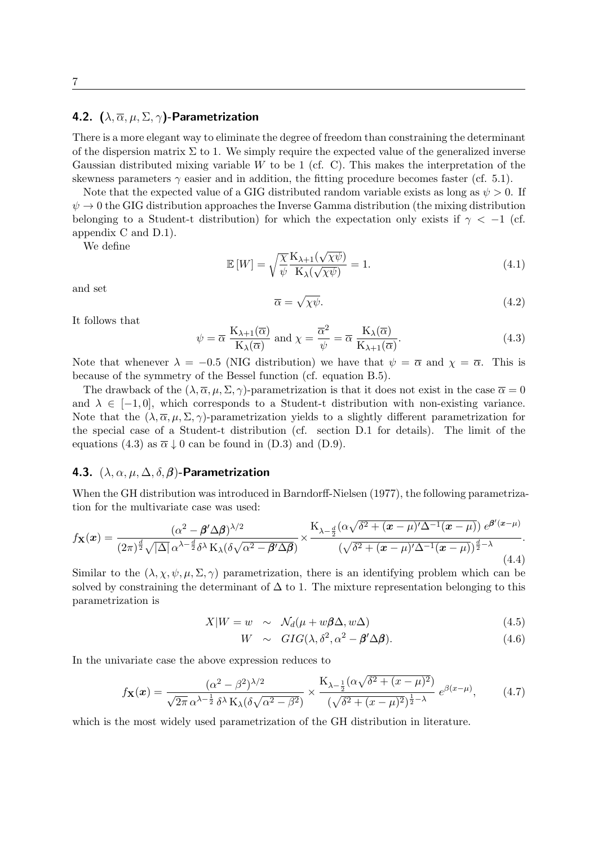### <span id="page-7-0"></span>4.2. (*λ, α, µ,* Σ*, γ*)-Parametrization

There is a more elegant way to eliminate the degree of freedom than constraining the determinant of the dispersion matrix  $\Sigma$  to 1. We simply require the expected value of the generalized inverse Gaussian distributed mixing variable *W* to be 1 (cf. [C\)](#page-15-0). This makes the interpretation of the skewness parameters  $\gamma$  easier and in addition, the fitting procedure becomes faster (cf. [5.1\)](#page-9-2).

Note that the expected value of a GIG distributed random variable exists as long as  $\psi > 0$ . If  $\psi \to 0$  the GIG distribution approaches the Inverse Gamma distribution (the mixing distribution belonging to a Student-t distribution) for which the expectation only exists if  $\gamma < -1$  (cf. appendix [C](#page-15-0) and [D.1\)](#page-17-1).

We define

$$
\mathbb{E}\left[W\right] = \sqrt{\frac{\chi}{\psi}} \frac{\mathcal{K}_{\lambda+1}(\sqrt{\chi\psi})}{\mathcal{K}_{\lambda}(\sqrt{\chi\psi})} = 1. \tag{4.1}
$$

and set

$$
\overline{\alpha} = \sqrt{\chi \psi}.\tag{4.2}
$$

It follows that

<span id="page-7-2"></span>
$$
\psi = \overline{\alpha} \frac{K_{\lambda+1}(\overline{\alpha})}{K_{\lambda}(\overline{\alpha})} \text{ and } \chi = \frac{\overline{\alpha}^2}{\psi} = \overline{\alpha} \frac{K_{\lambda}(\overline{\alpha})}{K_{\lambda+1}(\overline{\alpha})}. \tag{4.3}
$$

Note that whenever  $\lambda = -0.5$  (NIG distribution) we have that  $\psi = \overline{\alpha}$  and  $\chi = \overline{\alpha}$ . This is because of the symmetry of the Bessel function (cf. equation [B.5\)](#page-13-2).

The drawback of the  $(\lambda, \overline{\alpha}, \mu, \Sigma, \gamma)$ -parametrization is that it does not exist in the case  $\overline{\alpha} = 0$ and  $\lambda \in [-1, 0]$ , which corresponds to a Student-t distribution with non-existing variance. Note that the  $(\lambda, \overline{\alpha}, \mu, \Sigma, \gamma)$ -parametrization yields to a slightly different parametrization for the special case of a Student-t distribution (cf. section [D.1](#page-17-1) for details). The limit of the equations [\(4.3\)](#page-7-2) as  $\bar{\alpha} \downarrow 0$  can be found in [\(D.3\)](#page-17-2) and [\(D.9\)](#page-18-2).

### <span id="page-7-1"></span>4.3. (*λ, α, µ,* ∆*, δ, β*)-Parametrization

When the GH distribution was introduced in [Barndorff-Nielsen](#page-25-0) [\(1977\)](#page-25-0), the following parametrization for the multivariate case was used:

$$
f_{\mathbf{X}}(\boldsymbol{x}) = \frac{(\alpha^2 - \boldsymbol{\beta}' \Delta \boldsymbol{\beta})^{\lambda/2}}{(2\pi)^{\frac{d}{2}} \sqrt{|\Delta|} \alpha^{\lambda - \frac{d}{2}} \delta^{\lambda} \mathcal{K}_{\lambda} (\delta \sqrt{\alpha^2 - \boldsymbol{\beta}' \Delta \boldsymbol{\beta}})} \times \frac{\mathcal{K}_{\lambda - \frac{d}{2}}(\alpha \sqrt{\delta^2 + (\boldsymbol{x} - \mu)'\Delta^{-1}(\boldsymbol{x} - \mu)}) e^{\boldsymbol{\beta}'(\boldsymbol{x} - \mu)}}{(\sqrt{\delta^2 + (\boldsymbol{x} - \mu)'\Delta^{-1}(\boldsymbol{x} - \mu)})^{\frac{d}{2} - \lambda}}.
$$
\n(4.4)

Similar to the  $(\lambda, \chi, \psi, \mu, \Sigma, \gamma)$  parametrization, there is an identifying problem which can be solved by constraining the determinant of  $\Delta$  to 1. The mixture representation belonging to this parametrization is

$$
X|W = w \sim \mathcal{N}_d(\mu + w\beta\Delta, w\Delta) \tag{4.5}
$$

$$
W \sim GIG(\lambda, \delta^2, \alpha^2 - \beta' \Delta \beta). \tag{4.6}
$$

In the univariate case the above expression reduces to

$$
f_{\mathbf{X}}(x) = \frac{(\alpha^2 - \beta^2)^{\lambda/2}}{\sqrt{2\pi} \alpha^{\lambda - \frac{1}{2}} \delta^{\lambda} \mathcal{K}_{\lambda} (\delta \sqrt{\alpha^2 - \beta^2})} \times \frac{\mathcal{K}_{\lambda - \frac{1}{2}}(\alpha \sqrt{\delta^2 + (x - \mu)^2})}{(\sqrt{\delta^2 + (x - \mu)^2})^{\frac{1}{2} - \lambda}} e^{\beta(x - \mu)}, \quad (4.7)
$$

which is the most widely used parametrization of the GH distribution in literature.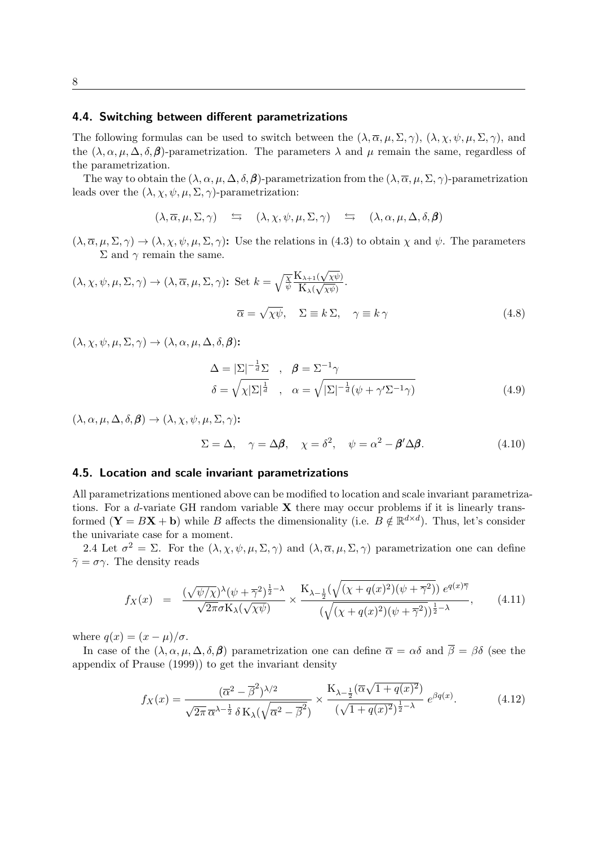### <span id="page-8-0"></span>4.4. Switching between different parametrizations

The following formulas can be used to switch between the  $(\lambda, \overline{\alpha}, \mu, \Sigma, \gamma)$ ,  $(\lambda, \chi, \psi, \mu, \Sigma, \gamma)$ , and the  $(\lambda, \alpha, \mu, \Delta, \delta, \beta)$ -parametrization. The parameters  $\lambda$  and  $\mu$  remain the same, regardless of the parametrization.

The way to obtain the  $(\lambda, \alpha, \mu, \Delta, \delta, \beta)$ -parametrization from the  $(\lambda, \overline{\alpha}, \mu, \Sigma, \gamma)$ -parametrization leads over the  $(\lambda, \chi, \psi, \mu, \Sigma, \gamma)$ -parametrization:

$$
(\lambda, \overline{\alpha}, \mu, \Sigma, \gamma) \quad \hookrightarrow \quad (\lambda, \chi, \psi, \mu, \Sigma, \gamma) \quad \hookrightarrow \quad (\lambda, \alpha, \mu, \Delta, \delta, \beta)
$$

 $(\lambda, \overline{\alpha}, \mu, \Sigma, \gamma) \rightarrow (\lambda, \chi, \psi, \mu, \Sigma, \gamma)$ : Use the relations in [\(4.3\)](#page-7-2) to obtain  $\chi$  and  $\psi$ . The parameters Σ and  $γ$  remain the same.

$$
(\lambda, \chi, \psi, \mu, \Sigma, \gamma) \to (\lambda, \overline{\alpha}, \mu, \Sigma, \gamma): \text{Set } k = \sqrt{\frac{\chi}{\psi}} \frac{K_{\lambda+1}(\sqrt{\chi\psi})}{K_{\lambda}(\sqrt{\chi\psi})}.
$$
  

$$
\overline{\alpha} = \sqrt{\chi\psi}, \quad \Sigma \equiv k \Sigma, \quad \gamma \equiv k \gamma
$$
(4.8)

 $(\lambda, \chi, \psi, \mu, \Sigma, \gamma) \rightarrow (\lambda, \alpha, \mu, \Delta, \delta, \beta)$ :

$$
\Delta = |\Sigma|^{-\frac{1}{d}} \Sigma , \quad \beta = \Sigma^{-1} \gamma
$$
  

$$
\delta = \sqrt{\chi |\Sigma|^{\frac{1}{d}}}, \quad \alpha = \sqrt{|\Sigma|^{-\frac{1}{d}} (\psi + \gamma' \Sigma^{-1} \gamma)}
$$
(4.9)

 $(\lambda, \alpha, \mu, \Delta, \delta, \beta) \rightarrow (\lambda, \chi, \psi, \mu, \Sigma, \gamma)$ :

$$
\Sigma = \Delta, \quad \gamma = \Delta \beta, \quad \chi = \delta^2, \quad \psi = \alpha^2 - \beta' \Delta \beta. \tag{4.10}
$$

#### <span id="page-8-1"></span>4.5. Location and scale invariant parametrizations

All parametrizations mentioned above can be modified to location and scale invariant parametrizations. For a *d*-variate GH random variable **X** there may occur problems if it is linearly transformed  $(\mathbf{Y} = B\mathbf{X} + \mathbf{b})$  while *B* affects the dimensionality (i.e.  $B \notin \mathbb{R}^{d \times d}$ ). Thus, let's consider the univariate case for a moment.

[2.4](#page-5-1) Let  $\sigma^2 = \Sigma$ . For the  $(\lambda, \chi, \psi, \mu, \Sigma, \gamma)$  and  $(\lambda, \overline{\alpha}, \mu, \Sigma, \gamma)$  parametrization one can define  $\bar{\gamma} = \sigma \gamma$ . The density reads

$$
f_X(x) = \frac{(\sqrt{\psi/\chi})^{\lambda}(\psi + \overline{\gamma}^2)^{\frac{1}{2} - \lambda}}{\sqrt{2\pi}\sigma K_{\lambda}(\sqrt{\chi\psi})} \times \frac{K_{\lambda - \frac{1}{2}}(\sqrt{(\chi + q(x)^2)(\psi + \overline{\gamma}^2)}) e^{q(x)\overline{\gamma}}}{(\sqrt{(\chi + q(x)^2)(\psi + \overline{\gamma}^2)})^{\frac{1}{2} - \lambda}}, \quad (4.11)
$$

where  $q(x) = (x - \mu)/\sigma$ .

In case of the  $(\lambda, \alpha, \mu, \Delta, \delta, \beta)$  parametrization one can define  $\overline{\alpha} = \alpha \delta$  and  $\overline{\beta} = \beta \delta$  (see the appendix of [Prause](#page-27-0) [\(1999\)](#page-27-0)) to get the invariant density

$$
f_X(x) = \frac{(\overline{\alpha}^2 - \overline{\beta}^2)^{\lambda/2}}{\sqrt{2\pi} \,\overline{\alpha}^{\lambda - \frac{1}{2}} \,\delta \,K_\lambda(\sqrt{\overline{\alpha}^2 - \overline{\beta}^2})} \times \frac{K_{\lambda - \frac{1}{2}}(\overline{\alpha}\sqrt{1 + q(x)^2})}{(\sqrt{1 + q(x)^2})^{\frac{1}{2} - \lambda}} \,e^{\beta q(x)}.\tag{4.12}
$$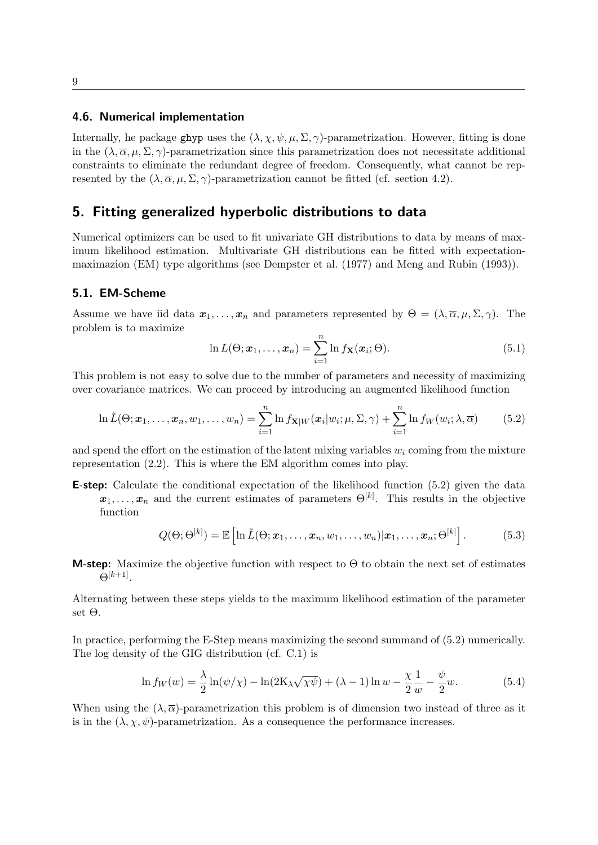#### <span id="page-9-0"></span>4.6. Numerical implementation

Internally, he package ghyp uses the  $(\lambda, \chi, \psi, \mu, \Sigma, \gamma)$ -parametrization. However, fitting is done in the  $(\lambda, \overline{\alpha}, \mu, \Sigma, \gamma)$ -parametrization since this parametrization does not necessitate additional constraints to eliminate the redundant degree of freedom. Consequently, what cannot be represented by the  $(\lambda, \overline{\alpha}, \mu, \Sigma, \gamma)$ -parametrization cannot be fitted (cf. section [4.2\)](#page-7-0).

### <span id="page-9-1"></span>5. Fitting generalized hyperbolic distributions to data

Numerical optimizers can be used to fit univariate GH distributions to data by means of maximum likelihood estimation. Multivariate GH distributions can be fitted with expectationmaximazion (EM) type algorithms (see [Dempster et al.](#page-26-3) [\(1977\)](#page-26-3) and [Meng and Rubin](#page-26-4) [\(1993\)](#page-26-4)).

#### <span id="page-9-2"></span>5.1. EM-Scheme

Assume we have iid data  $x_1, \ldots, x_n$  and parameters represented by  $\Theta = (\lambda, \overline{\alpha}, \mu, \Sigma, \gamma)$ . The problem is to maximize

$$
\ln L(\Theta; \boldsymbol{x}_1, \dots, \boldsymbol{x}_n) = \sum_{i=1}^n \ln f_{\mathbf{X}}(\boldsymbol{x}_i; \Theta).
$$
 (5.1)

This problem is not easy to solve due to the number of parameters and necessity of maximizing over covariance matrices. We can proceed by introducing an augmented likelihood function

<span id="page-9-3"></span>
$$
\ln \tilde{L}(\Theta; \mathbf{x}_1, \dots, \mathbf{x}_n, w_1, \dots, w_n) = \sum_{i=1}^n \ln f_{\mathbf{X}|W}(\mathbf{x}_i|w_i; \mu, \Sigma, \gamma) + \sum_{i=1}^n \ln f_W(w_i; \lambda, \overline{\alpha}) \tag{5.2}
$$

and spend the effort on the estimation of the latent mixing variables *w<sup>i</sup>* coming from the mixture representation [\(2.2\)](#page-4-2). This is where the EM algorithm comes into play.

E-step: Calculate the conditional expectation of the likelihood function [\(5.2\)](#page-9-3) given the data

 $x_1, \ldots, x_n$  and the current estimates of parameters  $\Theta^{[k]}$ . This results in the objective function

$$
Q(\Theta; \Theta^{[k]}) = \mathbb{E}\left[\ln \tilde{L}(\Theta; \boldsymbol{x}_1, \ldots, \boldsymbol{x}_n, w_1, \ldots, w_n)|\boldsymbol{x}_1, \ldots, \boldsymbol{x}_n; \Theta^{[k]}\right].
$$
 (5.3)

**M-step:** Maximize the objective function with respect to  $\Theta$  to obtain the next set of estimates  $\Theta^{[k+1]}$ .

Alternating between these steps yields to the maximum likelihood estimation of the parameter set Θ.

In practice, performing the E-Step means maximizing the second summand of [\(5.2\)](#page-9-3) numerically. The log density of the GIG distribution (cf. [C.1\)](#page-15-3) is

<span id="page-9-4"></span>
$$
\ln f_W(w) = \frac{\lambda}{2} \ln(\psi/\chi) - \ln(2\mathcal{K}_\lambda \sqrt{\chi \psi}) + (\lambda - 1) \ln w - \frac{\chi}{2} \frac{1}{w} - \frac{\psi}{2} w.
$$
 (5.4)

When using the  $(\lambda, \overline{\alpha})$ -parametrization this problem is of dimension two instead of three as it is in the  $(\lambda, \chi, \psi)$ -parametrization. As a consequence the performance increases.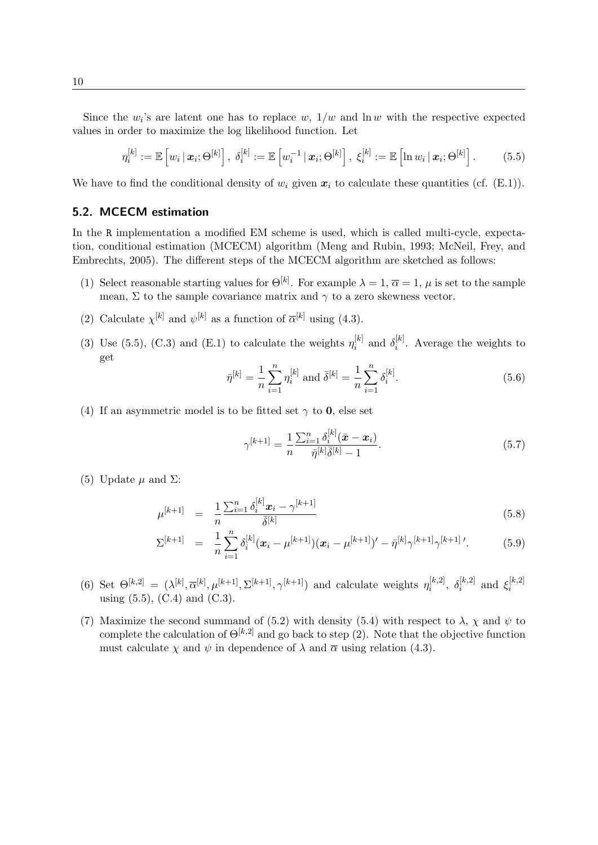Since the  $w_i$ 's are latent one has to replace  $w$ ,  $1/w$  and  $\ln w$  with the respective expected values in order to maximize the log likelihood function. Let

<span id="page-10-1"></span>
$$
\eta_i^{[k]} := \mathbb{E}\left[w_i \,|\, \boldsymbol{x}_i; \Theta^{[k]}\right], \; \delta_i^{[k]} := \mathbb{E}\left[w_i^{-1} \,|\, \boldsymbol{x}_i; \Theta^{[k]}\right], \; \xi_i^{[k]} := \mathbb{E}\left[\ln w_i \,|\, \boldsymbol{x}_i; \Theta^{[k]}\right].\tag{5.5}
$$

We have to find the conditional density of  $w_i$  given  $x_i$  to calculate these quantities (cf. [\(E.1\)](#page-19-2)).

#### <span id="page-10-0"></span>5.2. MCECM estimation

In the R implementation a modified EM scheme is used, which is called multi-cycle, expectation, conditional estimation (MCECM) algorithm [\(Meng and Rubin,](#page-26-4) [1993;](#page-26-4) [McNeil, Frey, and](#page-26-2) [Embrechts,](#page-26-2) [2005\)](#page-26-2). The different steps of the MCECM algorithm are sketched as follows:

- (1) Select reasonable starting values for  $\Theta^{[k]}$ . For example  $\lambda = 1, \overline{\alpha} = 1, \mu$  is set to the sample mean,  $\Sigma$  to the sample covariance matrix and  $\gamma$  to a zero skewness vector.
- (2) Calculate  $\chi^{[k]}$  and  $\psi^{[k]}$  as a function of  $\overline{\alpha}^{[k]}$  using [\(4.3\)](#page-7-2).
- (3) Use [\(5.5\)](#page-10-1), [\(C.3\)](#page-15-4) and [\(E.1\)](#page-19-2) to calculate the weights  $\eta_i^{[k]}$  $\delta_i^{[k]}$  and  $\delta_i^{[k]}$  $i^{k}$ . Average the weights to get

$$
\bar{\eta}^{[k]} = \frac{1}{n} \sum_{i=1}^{n} \eta_i^{[k]} \text{ and } \bar{\delta}^{[k]} = \frac{1}{n} \sum_{i=1}^{n} \delta_i^{[k]}.
$$
\n(5.6)

(4) If an asymmetric model is to be fitted set  $\gamma$  to **0**, else set

$$
\gamma^{[k+1]} = \frac{1}{n} \frac{\sum_{i=1}^{n} \delta_i^{[k]} (\bar{x} - x_i)}{\bar{\eta}^{[k]} \bar{\delta}^{[k]} - 1}.
$$
\n(5.7)

(5) Update  $\mu$  and  $\Sigma$ :

$$
\mu^{[k+1]} = \frac{1}{n} \frac{\sum_{i=1}^{n} \delta_i^{[k]} \mathbf{x}_i - \gamma^{[k+1]}}{\bar{\delta}^{[k]}}
$$
\n(5.8)

$$
\Sigma^{[k+1]} = \frac{1}{n} \sum_{i=1}^{n} \delta_i^{[k]} (\boldsymbol{x}_i - \mu^{[k+1]})(\boldsymbol{x}_i - \mu^{[k+1]})' - \bar{\eta}^{[k]} \gamma^{[k+1]} \gamma^{[k+1]}'. \tag{5.9}
$$

- (6) Set  $\Theta^{[k,2]} = (\lambda^{[k]}, \overline{\alpha}^{[k]}, \mu^{[k+1]}, \Sigma^{[k+1]}, \gamma^{[k+1]})$  and calculate weights  $\eta_i^{[k,2]}$  $\delta_i^{[k,2]}, \; \delta_i^{[k,2]}$  $\mathbf{z}_i^{[k,2]}$  and  $\mathbf{\xi}_i^{[k,2]}$ *i* using  $(5.5)$ ,  $(C.4)$  and  $(C.3)$ .
- (7) Maximize the second summand of [\(5.2\)](#page-9-3) with density [\(5.4\)](#page-9-4) with respect to  $\lambda$ ,  $\chi$  and  $\psi$  to complete the calculation of  $\Theta^{[k,2]}$  and go back to step (2). Note that the objective function must calculate  $\chi$  and  $\psi$  in dependence of  $\lambda$  and  $\overline{\alpha}$  using relation [\(4.3\)](#page-7-2).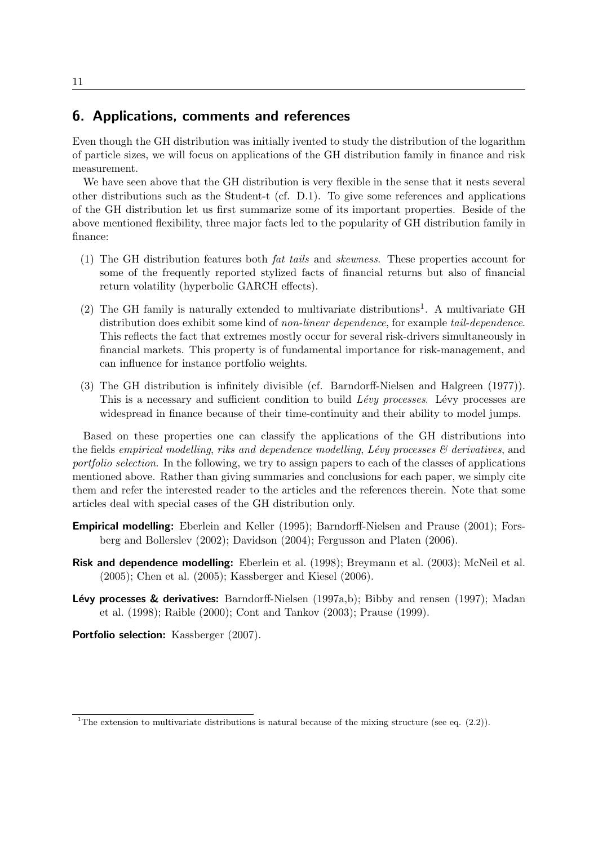# <span id="page-11-0"></span>6. Applications, comments and references

Even though the GH distribution was initially ivented to study the distribution of the logarithm of particle sizes, we will focus on applications of the GH distribution family in finance and risk measurement.

We have seen above that the GH distribution is very flexible in the sense that it nests several other distributions such as the Student-t (cf. [D.1\)](#page-17-1). To give some references and applications of the GH distribution let us first summarize some of its important properties. Beside of the above mentioned flexibility, three major facts led to the popularity of GH distribution family in finance:

- (1) The GH distribution features both fat tails and skewness. These properties account for some of the frequently reported stylized facts of financial returns but also of financial return volatility (hyperbolic GARCH effects).
- (2) The GH family is naturally extended to multivariate distributions<sup>[1](#page-11-1)</sup>. A multivariate GH distribution does exhibit some kind of non-linear dependence, for example tail-dependence. This reflects the fact that extremes mostly occur for several risk-drivers simultaneously in financial markets. This property is of fundamental importance for risk-management, and can influence for instance portfolio weights.
- (3) The GH distribution is infinitely divisible (cf. [Barndorff-Nielsen and Halgreen](#page-25-1) [\(1977\)](#page-25-1)). This is a necessary and sufficient condition to build  $Lévy$  processes. Lévy processes are widespread in finance because of their time-continuity and their ability to model jumps.

Based on these properties one can classify the applications of the GH distributions into the fields empirical modelling, riks and dependence modelling, Lévy processes  $\mathcal{B}'$  derivatives, and portfolio selection. In the following, we try to assign papers to each of the classes of applications mentioned above. Rather than giving summaries and conclusions for each paper, we simply cite them and refer the interested reader to the articles and the references therein. Note that some articles deal with special cases of the GH distribution only.

- Empirical modelling: [Eberlein and Keller](#page-26-5) [\(1995\)](#page-26-5); [Barndorff-Nielsen and Prause](#page-25-2) [\(2001\)](#page-25-2); [Fors](#page-26-6)[berg and Bollerslev](#page-26-6) [\(2002\)](#page-26-6); [Davidson](#page-26-7) [\(2004\)](#page-26-7); [Fergusson and Platen](#page-26-8) [\(2006\)](#page-26-8).
- Risk and dependence modelling: [Eberlein et al.](#page-26-9) [\(1998\)](#page-26-9); [Breymann et al.](#page-25-3) [\(2003\)](#page-25-3); [McNeil et al.](#page-26-2) [\(2005\)](#page-26-2); [Chen et al.](#page-26-10) [\(2005\)](#page-26-10); [Kassberger and Kiesel](#page-26-11) [\(2006\)](#page-26-11).
- **Lévy processes & derivatives:** [Barndorff-Nielsen](#page-25-4) [\(1997a,](#page-25-4)[b\)](#page-25-5); [Bibby and rensen](#page-25-6) [\(1997\)](#page-25-6); [Madan](#page-26-12) [et al.](#page-26-12) [\(1998\)](#page-26-12); [Raible](#page-27-1) [\(2000\)](#page-27-1); [Cont and Tankov](#page-26-13) [\(2003\)](#page-26-13); [Prause](#page-27-0) [\(1999\)](#page-27-0).

Portfolio selection: [Kassberger](#page-26-14) [\(2007\)](#page-26-14).

<span id="page-11-1"></span><sup>&</sup>lt;sup>1</sup>The extension to multivariate distributions is natural because of the mixing structure (see eq.  $(2.2)$ ).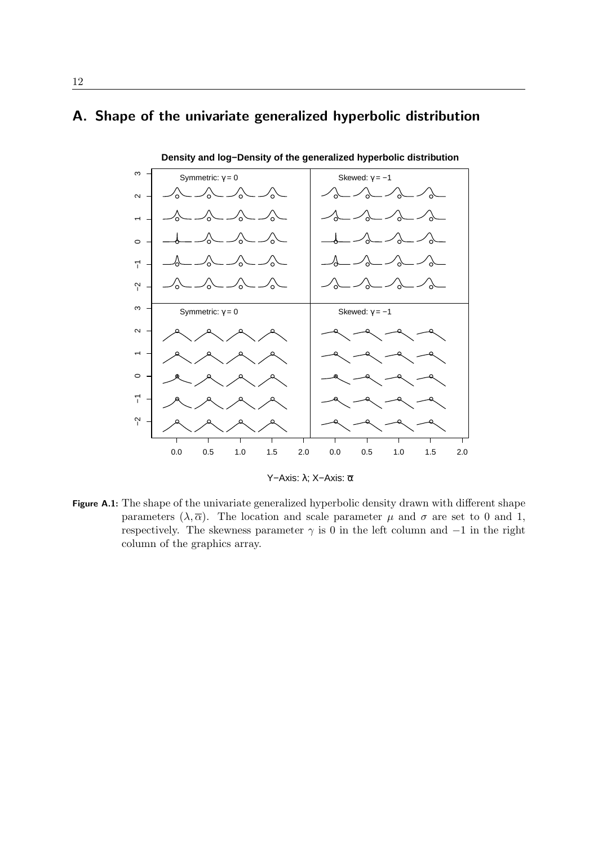# <span id="page-12-0"></span>A. Shape of the univariate generalized hyperbolic distribution



Y−Axis: λ; X−Axis: α

Figure A.1: The shape of the univariate generalized hyperbolic density drawn with different shape parameters  $(\lambda, \overline{\alpha})$ . The location and scale parameter  $\mu$  and  $\sigma$  are set to 0 and 1, respectively. The skewness parameter  $\gamma$  is 0 in the left column and  $-1$  in the right column of the graphics array.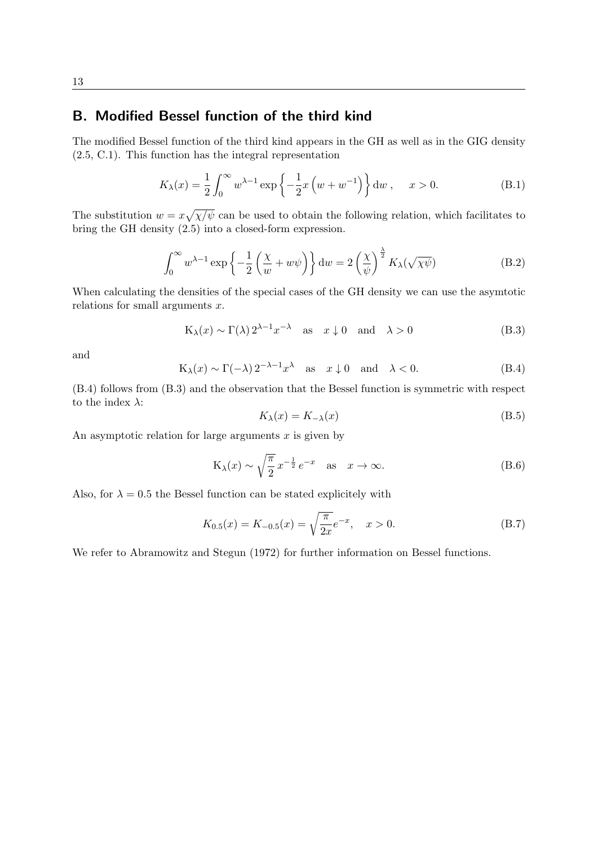# <span id="page-13-0"></span>B. Modified Bessel function of the third kind

The modified Bessel function of the third kind appears in the GH as well as in the GIG density [\(2.5,](#page-4-3) [C.1\)](#page-15-3). This function has the integral representation

$$
K_{\lambda}(x) = \frac{1}{2} \int_0^{\infty} w^{\lambda - 1} \exp\left\{-\frac{1}{2}x \left(w + w^{-1}\right)\right\} dw, \quad x > 0.
$$
 (B.1)

The substitution  $w = x\sqrt{\chi/\psi}$  can be used to obtain the following relation, which facilitates to bring the GH density [\(2.5\)](#page-4-3) into a closed-form expression.

<span id="page-13-1"></span>
$$
\int_0^\infty w^{\lambda - 1} \exp\left\{-\frac{1}{2} \left(\frac{\chi}{w} + w\psi\right)\right\} dw = 2 \left(\frac{\chi}{\psi}\right)^{\frac{\lambda}{2}} K_\lambda(\sqrt{\chi\psi})
$$
 (B.2)

When calculating the densities of the special cases of the GH density we can use the asymtotic relations for small arguments *x*.

<span id="page-13-4"></span>
$$
K_{\lambda}(x) \sim \Gamma(\lambda) 2^{\lambda - 1} x^{-\lambda} \quad \text{as} \quad x \downarrow 0 \quad \text{and} \quad \lambda > 0 \tag{B.3}
$$

and

<span id="page-13-3"></span>
$$
K_{\lambda}(x) \sim \Gamma(-\lambda) 2^{-\lambda - 1} x^{\lambda} \quad \text{as} \quad x \downarrow 0 \quad \text{and} \quad \lambda < 0. \tag{B.4}
$$

[\(B.4\)](#page-13-3) follows from [\(B.3\)](#page-13-4) and the observation that the Bessel function is symmetric with respect to the index *λ*:

<span id="page-13-2"></span>
$$
K_{\lambda}(x) = K_{-\lambda}(x) \tag{B.5}
$$

An asymptotic relation for large arguments *x* is given by

<span id="page-13-5"></span>
$$
K_{\lambda}(x) \sim \sqrt{\frac{\pi}{2}} x^{-\frac{1}{2}} e^{-x} \quad \text{as} \quad x \to \infty.
$$
 (B.6)

Also, for  $\lambda = 0.5$  the Bessel function can be stated explicitely with

$$
K_{0.5}(x) = K_{-0.5}(x) = \sqrt{\frac{\pi}{2x}}e^{-x}, \quad x > 0.
$$
 (B.7)

We refer to [Abramowitz and Stegun](#page-25-7) [\(1972\)](#page-25-7) for further information on Bessel functions.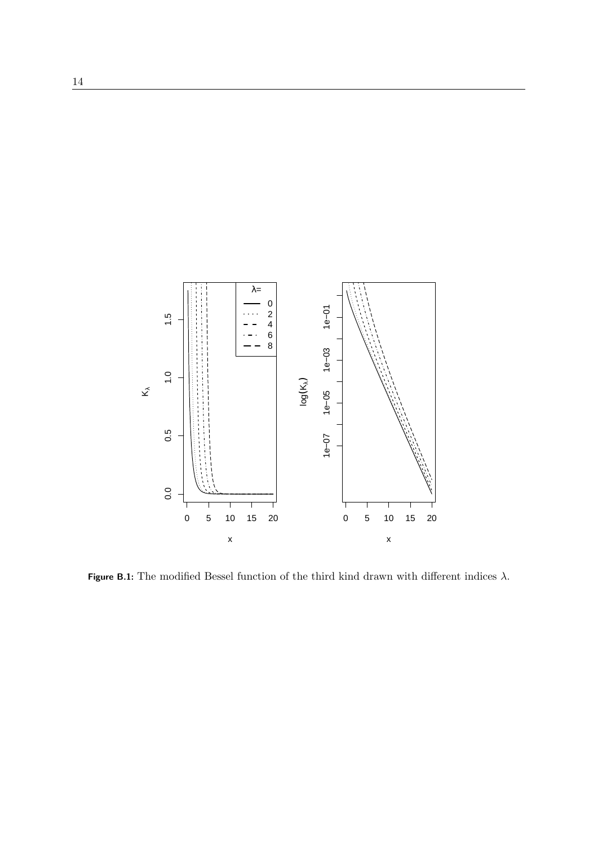

Figure B.1: The modified Bessel function of the third kind drawn with different indices *λ*.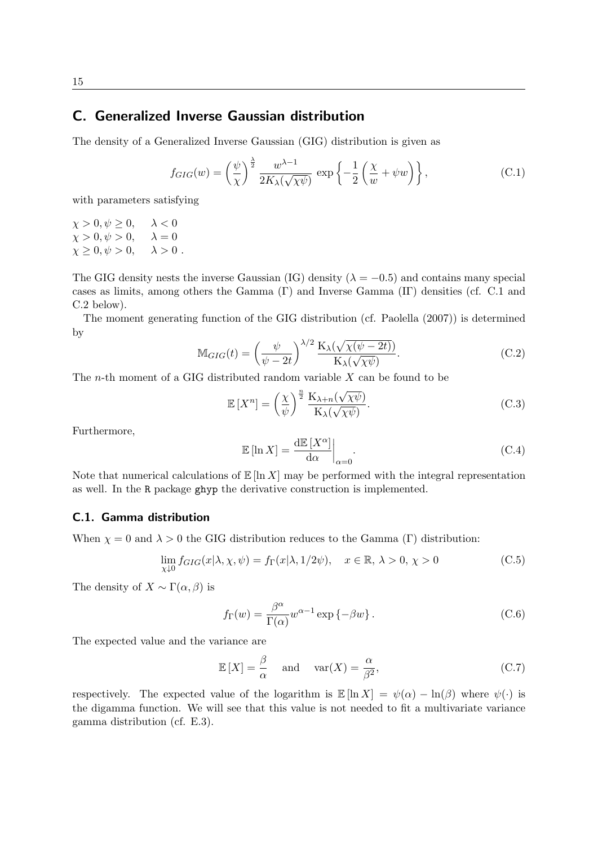### <span id="page-15-0"></span>C. Generalized Inverse Gaussian distribution

The density of a Generalized Inverse Gaussian (GIG) distribution is given as

<span id="page-15-3"></span>
$$
f_{GIG}(w) = \left(\frac{\psi}{\chi}\right)^{\frac{\lambda}{2}} \frac{w^{\lambda - 1}}{2K_{\lambda}(\sqrt{\chi\psi})} \exp\left\{-\frac{1}{2}\left(\frac{\chi}{w} + \psi w\right)\right\},\tag{C.1}
$$

with parameters satisfying

 $\chi > 0, \psi \geq 0, \quad \lambda < 0$  $\chi > 0, \psi > 0, \quad \lambda = 0$  $\chi \geq 0, \psi > 0, \quad \lambda > 0.$ 

The GIG density nests the inverse Gaussian (IG) density ( $\lambda = -0.5$ ) and contains many special cases as limits, among others the Gamma (Γ) and Inverse Gamma (IΓ) densities (cf. [C.1](#page-15-1) and [C.2](#page-16-0) below).

The moment generating function of the GIG distribution (cf. [Paolella](#page-26-1) [\(2007\)](#page-26-1)) is determined by

<span id="page-15-2"></span>
$$
\mathbb{M}_{GIG}(t) = \left(\frac{\psi}{\psi - 2t}\right)^{\lambda/2} \frac{\mathcal{K}_{\lambda}(\sqrt{\chi(\psi - 2t)})}{\mathcal{K}_{\lambda}(\sqrt{\chi\psi})}.
$$
 (C.2)

The *n*-th moment of a GIG distributed random variable *X* can be found to be

<span id="page-15-4"></span>
$$
\mathbb{E}\left[X^{n}\right] = \left(\frac{\chi}{\psi}\right)^{\frac{n}{2}} \frac{\mathcal{K}_{\lambda+n}(\sqrt{\chi\psi})}{\mathcal{K}_{\lambda}(\sqrt{\chi\psi})}.\tag{C.3}
$$

Furthermore,

<span id="page-15-5"></span>
$$
\mathbb{E}\left[\ln X\right] = \frac{\mathrm{d}\mathbb{E}\left[X^{\alpha}\right]}{\mathrm{d}\alpha}\bigg|_{\alpha=0}.\tag{C.4}
$$

Note that numerical calculations of  $\mathbb{E} [\ln X]$  may be performed with the integral representation as well. In the R package ghyp the derivative construction is implemented.

### <span id="page-15-1"></span>C.1. Gamma distribution

When  $\chi = 0$  and  $\lambda > 0$  the GIG distribution reduces to the Gamma (Γ) distribution:

$$
\lim_{\chi \downarrow 0} f_{GIG}(x|\lambda, \chi, \psi) = f_{\Gamma}(x|\lambda, 1/2\psi), \quad x \in \mathbb{R}, \lambda > 0, \chi > 0
$$
\n(C.5)

The density of  $X \sim \Gamma(\alpha, \beta)$  is

<span id="page-15-6"></span>
$$
f_{\Gamma}(w) = \frac{\beta^{\alpha}}{\Gamma(\alpha)} w^{\alpha - 1} \exp \{-\beta w\}.
$$
 (C.6)

The expected value and the variance are

$$
\mathbb{E}[X] = \frac{\beta}{\alpha} \quad \text{and} \quad \text{var}(X) = \frac{\alpha}{\beta^2},\tag{C.7}
$$

respectively. The expected value of the logarithm is  $\mathbb{E} [\ln X] = \psi(\alpha) - \ln(\beta)$  where  $\psi(\cdot)$  is the digamma function. We will see that this value is not needed to fit a multivariate variance gamma distribution (cf. [E.3\)](#page-20-0).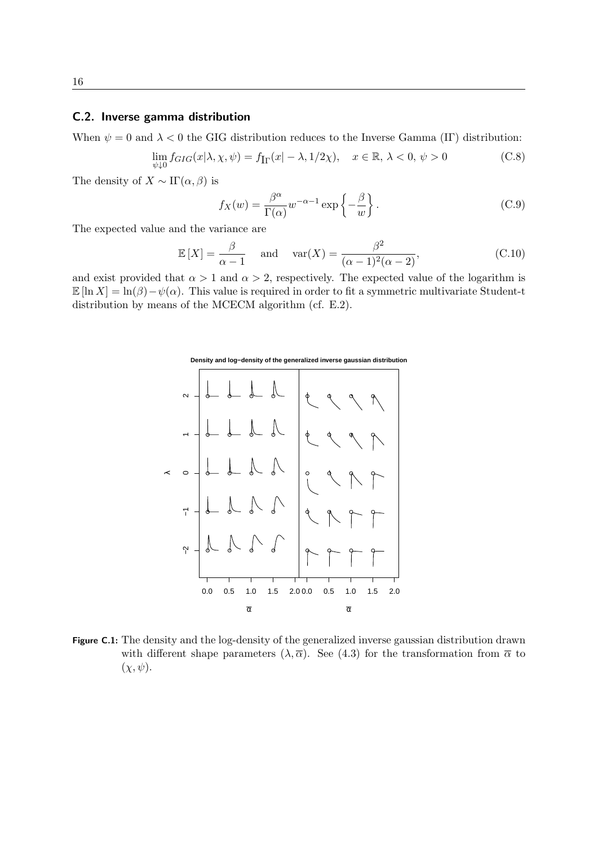#### <span id="page-16-0"></span>C.2. Inverse gamma distribution

When  $\psi = 0$  and  $\lambda < 0$  the GIG distribution reduces to the Inverse Gamma (IF) distribution:

$$
\lim_{\psi \downarrow 0} f_{GIG}(x|\lambda, \chi, \psi) = f_{\text{Ir}}(x| - \lambda, 1/2\chi), \quad x \in \mathbb{R}, \lambda < 0, \psi > 0 \tag{C.8}
$$

The density of  $X \sim \Pi(\alpha, \beta)$  is

<span id="page-16-2"></span>
$$
f_X(w) = \frac{\beta^{\alpha}}{\Gamma(\alpha)} w^{-\alpha - 1} \exp\left\{-\frac{\beta}{w}\right\}.
$$
 (C.9)

The expected value and the variance are

<span id="page-16-1"></span>
$$
\mathbb{E}[X] = \frac{\beta}{\alpha - 1} \quad \text{and} \quad \text{var}(X) = \frac{\beta^2}{(\alpha - 1)^2 (\alpha - 2)},\tag{C.10}
$$

and exist provided that  $\alpha > 1$  and  $\alpha > 2$ , respectively. The expected value of the logarithm is  $\mathbb{E} [\ln X] = \ln(\beta) - \psi(\alpha)$ . This value is required in order to fit a symmetric multivariate Student-t distribution by means of the MCECM algorithm (cf. [E.2\)](#page-19-3).



Figure C.1: The density and the log-density of the generalized inverse gaussian distribution drawn with different shape parameters  $(\lambda, \overline{\alpha})$ . See [\(4.3\)](#page-7-2) for the transformation from  $\overline{\alpha}$  to  $(\chi, \psi)$ .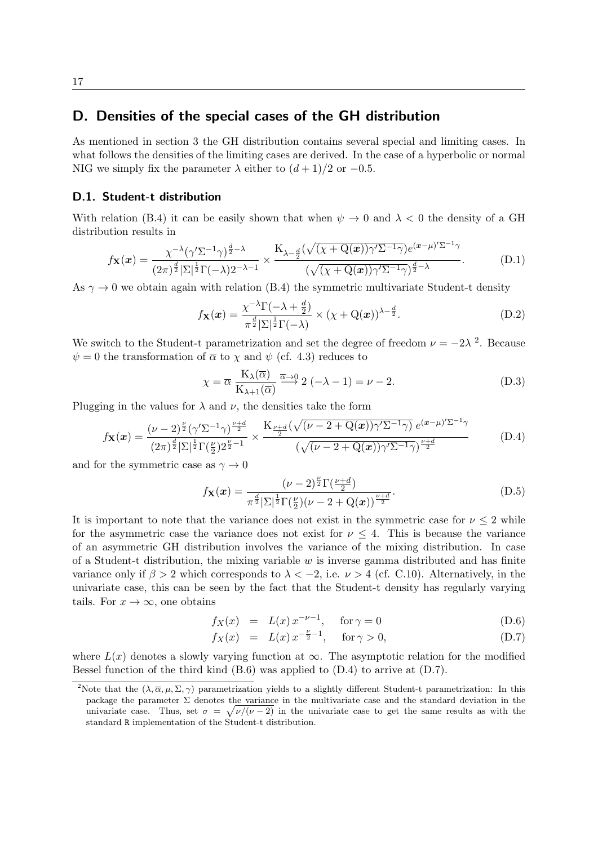# <span id="page-17-0"></span>D. Densities of the special cases of the GH distribution

As mentioned in section [3](#page-5-2) the GH distribution contains several special and limiting cases. In what follows the densities of the limiting cases are derived. In the case of a hyperbolic or normal NIG we simply fix the parameter  $\lambda$  either to  $(d+1)/2$  or  $-0.5$ .

#### <span id="page-17-1"></span>D.1. Student-t distribution

With relation [\(B.4\)](#page-13-3) it can be easily shown that when  $\psi \to 0$  and  $\lambda < 0$  the density of a GH distribution results in

$$
f_{\mathbf{X}}(\boldsymbol{x}) = \frac{\chi^{-\lambda}(\gamma^{\prime} \Sigma^{-1} \gamma)^{\frac{d}{2}-\lambda}}{(2\pi)^{\frac{d}{2}} |\Sigma|^{\frac{1}{2}} \Gamma(-\lambda) 2^{-\lambda-1}} \times \frac{K_{\lambda-\frac{d}{2}}(\sqrt{(\chi+Q(\boldsymbol{x}))\gamma^{\prime} \Sigma^{-1} \gamma}) e^{(\boldsymbol{x}-\mu)^{\prime} \Sigma^{-1} \gamma}}{(\sqrt{(\chi+Q(\boldsymbol{x}))\gamma^{\prime} \Sigma^{-1} \gamma})^{\frac{d}{2}-\lambda}}.
$$
(D.1)

As  $\gamma \rightarrow 0$  we obtain again with relation [\(B.4\)](#page-13-3) the symmetric multivariate Student-t density

$$
f_{\mathbf{X}}(\boldsymbol{x}) = \frac{\chi^{-\lambda} \Gamma(-\lambda + \frac{d}{2})}{\pi^{\frac{d}{2}} |\Sigma|^{\frac{1}{2}} \Gamma(-\lambda)} \times (\chi + \mathbf{Q}(\boldsymbol{x}))^{\lambda - \frac{d}{2}}.
$$
 (D.2)

We switch to the Student-t parametrization and set the degree of freedom  $\nu = -2\lambda^2$  $\nu = -2\lambda^2$  $\nu = -2\lambda^2$ . Because  $\psi = 0$  the transformation of  $\overline{\alpha}$  to  $\chi$  and  $\psi$  (cf. [4.3\)](#page-7-2) reduces to

<span id="page-17-2"></span>
$$
\chi = \overline{\alpha} \; \frac{K_{\lambda}(\overline{\alpha})}{K_{\lambda+1}(\overline{\alpha})} \stackrel{\overline{\alpha}\to 0}{\longrightarrow} 2\;(-\lambda - 1) = \nu - 2. \tag{D.3}
$$

Plugging in the values for  $\lambda$  and  $\nu$ , the densities take the form

<span id="page-17-4"></span>
$$
f_{\mathbf{X}}(x) = \frac{(\nu - 2)^{\frac{\nu}{2}} (\gamma' \Sigma^{-1} \gamma)^{\frac{\nu + d}{2}}}{(2\pi)^{\frac{d}{2}} |\Sigma|^{\frac{1}{2}} \Gamma(\frac{\nu}{2}) 2^{\frac{\nu}{2} - 1}} \times \frac{K_{\frac{\nu + d}{2}} (\sqrt{(\nu - 2 + Q(x)) \gamma' \Sigma^{-1} \gamma}) e^{(x - \mu)' \Sigma^{-1} \gamma}}{(\sqrt{(\nu - 2 + Q(x)) \gamma' \Sigma^{-1} \gamma})^{\frac{\nu + d}{2}}}
$$
(D.4)

and for the symmetric case as  $\gamma \to 0$ 

$$
f_{\mathbf{X}}(\boldsymbol{x}) = \frac{(\nu - 2)^{\frac{\nu}{2}} \Gamma(\frac{\nu + d}{2})}{\pi^{\frac{d}{2}} |\Sigma|^{\frac{1}{2}} \Gamma(\frac{\nu}{2})(\nu - 2 + Q(\boldsymbol{x}))^{\frac{\nu + d}{2}}}.
$$
(D.5)

It is important to note that the variance does not exist in the symmetric case for  $\nu \leq 2$  while for the asymmetric case the variance does not exist for  $\nu \leq 4$ . This is because the variance of an asymmetric GH distribution involves the variance of the mixing distribution. In case of a Student-t distribution, the mixing variable *w* is inverse gamma distributed and has finite variance only if  $\beta > 2$  which corresponds to  $\lambda < -2$ , i.e.  $\nu > 4$  (cf. [C.10\)](#page-16-1). Alternatively, in the univariate case, this can be seen by the fact that the Student-t density has regularly varying tails. For  $x \to \infty$ , one obtains

<span id="page-17-5"></span>
$$
f_X(x) = L(x) x^{-\nu - 1}, \quad \text{for } \gamma = 0
$$
 (D.6)

$$
f_X(x) = L(x) x^{-\frac{\nu}{2} - 1}, \quad \text{for } \gamma > 0,
$$
 (D.7)

where  $L(x)$  denotes a slowly varying function at  $\infty$ . The asymptotic relation for the modified Bessel function of the third kind  $(B.6)$  was applied to  $(D.4)$  to arrive at  $(D.7)$ .

<span id="page-17-3"></span><sup>&</sup>lt;sup>2</sup>Note that the  $(\lambda, \overline{\alpha}, \mu, \Sigma, \gamma)$  parametrization yields to a slightly different Student-t parametrization: In this package the parameter  $\Sigma$  denotes the variance in the multivariate case and the standard deviation in the univariate case. Thus, set  $\sigma = \sqrt{\nu/(\nu - 2)}$  in the univariate case to get the same results as with the standard R implementation of the Student-t distribution.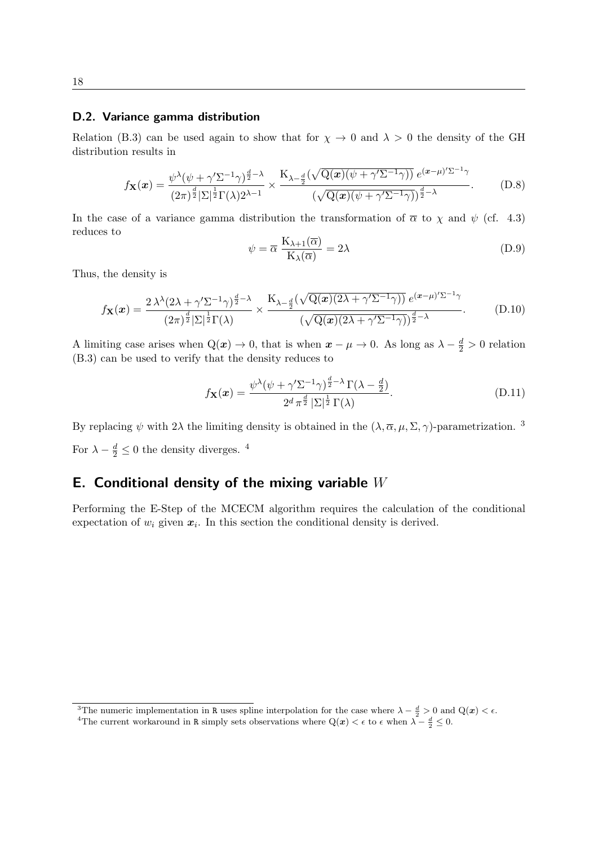#### <span id="page-18-0"></span>D.2. Variance gamma distribution

Relation [\(B.3\)](#page-13-4) can be used again to show that for  $\chi \to 0$  and  $\lambda > 0$  the density of the GH distribution results in

$$
f_{\mathbf{X}}(\boldsymbol{x}) = \frac{\psi^{\lambda}(\psi + \gamma^{\prime} \Sigma^{-1} \gamma)^{\frac{d}{2} - \lambda}}{(2\pi)^{\frac{d}{2}} |\Sigma|^{\frac{1}{2}} \Gamma(\lambda) 2^{\lambda - 1}} \times \frac{K_{\lambda - \frac{d}{2}}(\sqrt{Q(\boldsymbol{x})(\psi + \gamma^{\prime} \Sigma^{-1} \gamma)}) e^{(\boldsymbol{x} - \mu)^{\prime} \Sigma^{-1} \gamma}}{(\sqrt{Q(\boldsymbol{x})(\psi + \gamma^{\prime} \Sigma^{-1} \gamma)})^{\frac{d}{2} - \lambda}}.
$$
 (D.8)

In the case of a variance gamma distribution the transformation of  $\bar{\alpha}$  to  $\chi$  and  $\psi$  (cf. [4.3\)](#page-7-2) reduces to

<span id="page-18-2"></span>
$$
\psi = \overline{\alpha} \frac{K_{\lambda+1}(\overline{\alpha})}{K_{\lambda}(\overline{\alpha})} = 2\lambda
$$
 (D.9)

Thus, the density is

$$
f_{\mathbf{X}}(\boldsymbol{x}) = \frac{2\,\lambda^{\lambda}(2\lambda + \gamma^{\prime}\Sigma^{-1}\gamma)^{\frac{d}{2}-\lambda}}{(2\pi)^{\frac{d}{2}}|\Sigma|^{\frac{1}{2}}\Gamma(\lambda)} \times \frac{K_{\lambda-\frac{d}{2}}(\sqrt{Q(\boldsymbol{x})(2\lambda+\gamma^{\prime}\Sigma^{-1}\gamma)})e^{(\boldsymbol{x}-\mu)^{\prime}\Sigma^{-1}\gamma}}{(\sqrt{Q(\boldsymbol{x})(2\lambda+\gamma^{\prime}\Sigma^{-1}\gamma)})^{\frac{d}{2}-\lambda}}.
$$
(D.10)

A limiting case arises when  $Q(x) \to 0$ , that is when  $x - \mu \to 0$ . As long as  $\lambda - \frac{d}{2} > 0$  relation [\(B.3\)](#page-13-4) can be used to verify that the density reduces to

$$
f_{\mathbf{X}}(\boldsymbol{x}) = \frac{\psi^{\lambda}(\psi + \gamma' \Sigma^{-1} \gamma)^{\frac{d}{2} - \lambda} \Gamma(\lambda - \frac{d}{2})}{2^d \pi^{\frac{d}{2}} |\Sigma|^{\frac{1}{2}} \Gamma(\lambda)}.
$$
(D.11)

By replacing  $\psi$  with 2 $\lambda$  the limiting density is obtained in the  $(\lambda, \overline{\alpha}, \mu, \Sigma, \gamma)$ -parametrization.<sup>[3](#page-18-3)</sup> For  $\lambda - \frac{d}{2} \leq 0$  the density diverges. <sup>[4](#page-18-4)</sup>

# <span id="page-18-1"></span>E. Conditional density of the mixing variable *W*

Performing the E-Step of the MCECM algorithm requires the calculation of the conditional expectation of  $w_i$  given  $x_i$ . In this section the conditional density is derived.

<span id="page-18-3"></span><sup>&</sup>lt;sup>3</sup>The numeric implementation in R uses spline interpolation for the case where  $\lambda - \frac{d}{2} > 0$  and  $Q(x) < \epsilon$ .

<span id="page-18-4"></span><sup>&</sup>lt;sup>4</sup>The current workaround in R simply sets observations where  $Q(x) < \epsilon$  to  $\epsilon$  when  $\lambda - \frac{d}{2} \leq 0$ .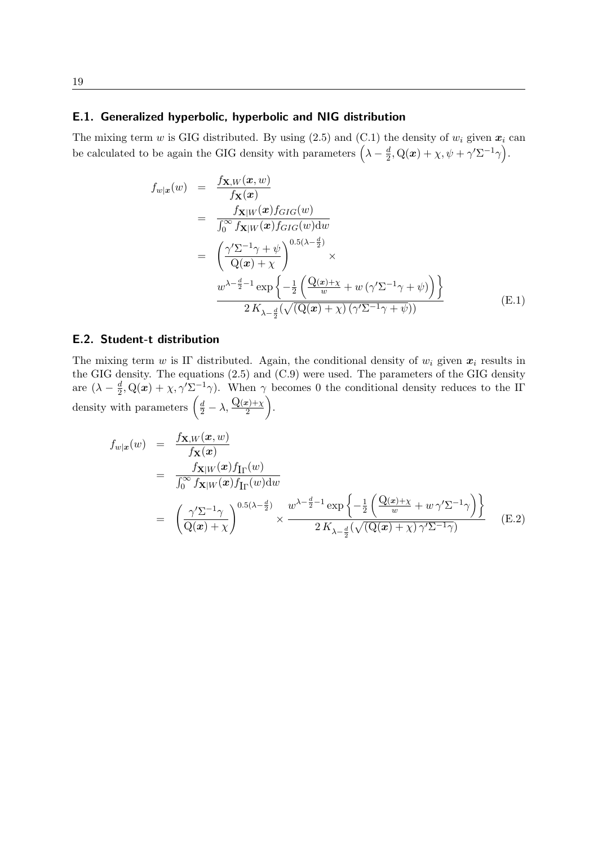#### <span id="page-19-0"></span>E.1. Generalized hyperbolic, hyperbolic and NIG distribution

The mixing term *w* is GIG distributed. By using  $(2.5)$  and  $(C.1)$  the density of  $w_i$  given  $x_i$  can be calculated to be again the GIG density with parameters  $(\lambda - \frac{d}{2})$  $\frac{d}{2}, \mathrm{Q}(\boldsymbol{x}) + \chi, \psi + \gamma' \Sigma^{-1} \gamma \Big).$ 

<span id="page-19-2"></span>
$$
f_{w|x}(w) = \frac{f_{\mathbf{X},W}(\mathbf{x}, w)}{f_{\mathbf{X}}(\mathbf{x})}
$$
  
\n
$$
= \frac{f_{\mathbf{X}|W}(\mathbf{x})f_{GIG}(w)}{\int_0^\infty f_{\mathbf{X}|W}(\mathbf{x})f_{GIG}(w)dw}
$$
  
\n
$$
= \left(\frac{\gamma' \Sigma^{-1} \gamma + \psi}{\mathrm{Q}(\mathbf{x}) + \chi}\right)^{0.5(\lambda - \frac{d}{2})} \times
$$
  
\n
$$
\frac{w^{\lambda - \frac{d}{2} - 1} \exp\left\{-\frac{1}{2} \left(\frac{\mathrm{Q}(x) + \chi}{w} + w \left(\gamma' \Sigma^{-1} \gamma + \psi\right)\right)\right\}}{2 K_{\lambda - \frac{d}{2}} (\sqrt{(\mathrm{Q}(\mathbf{x}) + \chi}) \left(\gamma' \Sigma^{-1} \gamma + \psi\right))}
$$
(E.1)

### <span id="page-19-1"></span>E.2. Student-t distribution

The mixing term *w* is IF distributed. Again, the conditional density of  $w_i$  given  $x_i$  results in the GIG density. The equations [\(2.5\)](#page-4-3) and [\(C.9\)](#page-16-2) were used. The parameters of the GIG density are  $(\lambda - \frac{d}{2})$  $\frac{d}{2}$ , Q(x) +  $\chi$ ,  $\gamma' \Sigma^{-1} \gamma$ ). When  $\gamma$  becomes 0 the conditional density reduces to the IΓ density with parameters  $\left(\frac{d}{2} - \lambda, \frac{Q(x)+\chi}{2}\right)$ .

<span id="page-19-3"></span>
$$
f_{w|x}(w) = \frac{f_{\mathbf{X},W}(\mathbf{x},w)}{f_{\mathbf{X}}(\mathbf{x})}
$$
  
\n
$$
= \frac{f_{\mathbf{X}|W}(\mathbf{x})f_{\text{Ir}}(w)}{\int_0^\infty f_{\mathbf{X}|W}(\mathbf{x})f_{\text{Ir}}(w)dw}
$$
  
\n
$$
= \left(\frac{\gamma \Sigma^{-1} \gamma}{Q(\mathbf{x}) + \chi}\right)^{0.5(\lambda - \frac{d}{2})} \times \frac{w^{\lambda - \frac{d}{2} - 1} \exp\left\{-\frac{1}{2} \left(\frac{Q(x) + \chi}{w} + w \gamma' \Sigma^{-1} \gamma\right)\right\}}{2K_{\lambda - \frac{d}{2}}(\sqrt{(Q(\mathbf{x}) + \chi)\gamma' \Sigma^{-1} \gamma})}
$$
(E.2)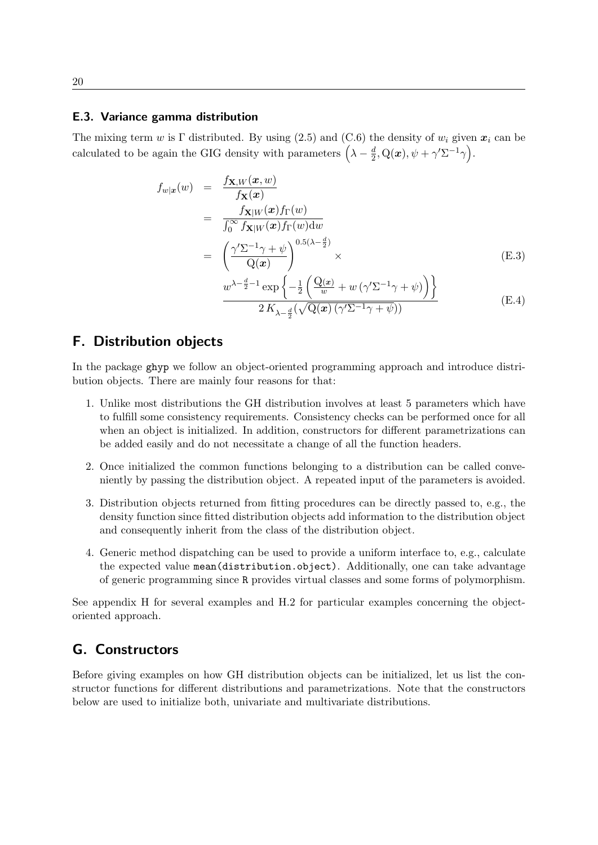#### <span id="page-20-0"></span>E.3. Variance gamma distribution

The mixing term *w* is Γ distributed. By using [\(2.5\)](#page-4-3) and [\(C.6\)](#page-15-6) the density of  $w_i$  given  $x_i$  can be calculated to be again the GIG density with parameters  $(\lambda - \frac{d}{2})$  $\frac{d}{2}, \mathrm{Q}(\boldsymbol{x}), \psi + \gamma' \Sigma^{-1} \gamma \Big).$ 

$$
f_{w|x}(w) = \frac{f_{\mathbf{X},W}(x,w)}{f_{\mathbf{X}}(x)} \n= \frac{f_{\mathbf{X}|W}(x)f_{\Gamma}(w)}{\int_0^\infty f_{\mathbf{X}|W}(x)f_{\Gamma}(w)dw} \n= \left(\frac{\gamma'\Sigma^{-1}\gamma + \psi}{Q(x)}\right)^{0.5(\lambda - \frac{d}{2})} \times \n\frac{w^{\lambda - \frac{d}{2}-1} \exp\left\{-\frac{1}{2}\left(\frac{Q(x)}{w} + w(\gamma'\Sigma^{-1}\gamma + \psi)\right)\right\}}{2K_{\lambda - \frac{d}{2}}(\sqrt{Q(x)}(\gamma'\Sigma^{-1}\gamma + \psi))}
$$
\n(E.4)

### <span id="page-20-1"></span>F. Distribution objects

In the package ghyp we follow an object-oriented programming approach and introduce distribution objects. There are mainly four reasons for that:

- 1. Unlike most distributions the GH distribution involves at least 5 parameters which have to fulfill some consistency requirements. Consistency checks can be performed once for all when an object is initialized. In addition, constructors for different parametrizations can be added easily and do not necessitate a change of all the function headers.
- 2. Once initialized the common functions belonging to a distribution can be called conveniently by passing the distribution object. A repeated input of the parameters is avoided.
- 3. Distribution objects returned from fitting procedures can be directly passed to, e.g., the density function since fitted distribution objects add information to the distribution object and consequently inherit from the class of the distribution object.
- 4. Generic method dispatching can be used to provide a uniform interface to, e.g., calculate the expected value mean(distribution.object). Additionally, one can take advantage of generic programming since R provides virtual classes and some forms of polymorphism.

See appendix [H](#page-21-0) for several examples and [H.2](#page-22-0) for particular examples concerning the objectoriented approach.

# <span id="page-20-2"></span>G. Constructors

Before giving examples on how GH distribution objects can be initialized, let us list the constructor functions for different distributions and parametrizations. Note that the constructors below are used to initialize both, univariate and multivariate distributions.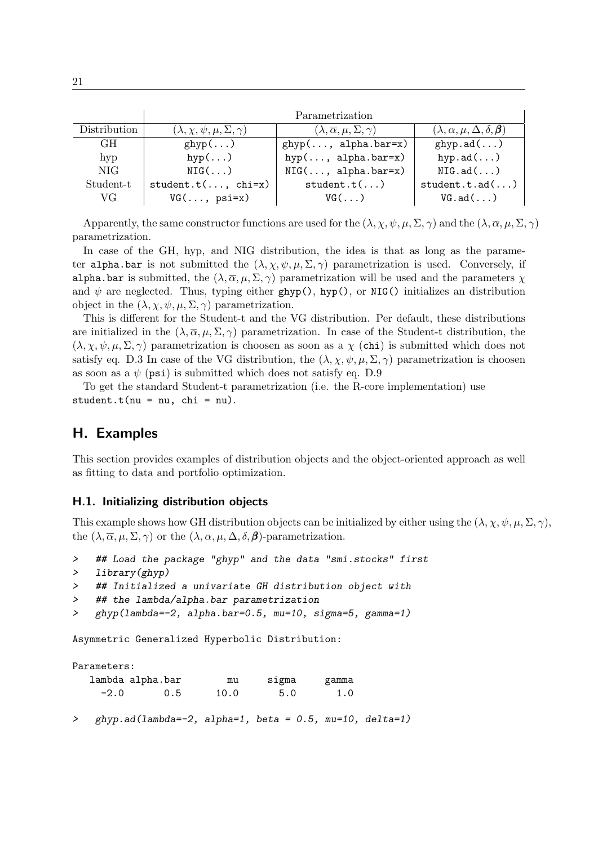|              | Parametrization                              |                                                     |                                                 |  |  |  |
|--------------|----------------------------------------------|-----------------------------------------------------|-------------------------------------------------|--|--|--|
| Distribution | $(\lambda, \chi, \psi, \mu, \Sigma, \gamma)$ | $(\lambda, \overline{\alpha}, \mu, \Sigma, \gamma)$ | $(\lambda, \alpha, \mu, \Delta, \delta, \beta)$ |  |  |  |
| GH.          | $ghyp$ ()                                    | $ghyp(, alpha.bar=x)$                               | ghyp.add()                                      |  |  |  |
| hyp          | $hyp(\ldots)$                                | $hyp(, alpha.bar=x)$                                | hyp.ad $(\ldots)$                               |  |  |  |
| NIG.         | $NIG($ $)$                                   | $NIG(\ldots, alpha.bar=x)$                          | NIG.add()                                       |  |  |  |
| Student-t    | $student.t(, chi=x)$                         | student.t()                                         | student.t.add()                                 |  |  |  |
| VG.          | $VG(\ldots, \psi)$                           | $VG(\ldots)$                                        | $VG.add(\ldots)$                                |  |  |  |

Apparently, the same constructor functions are used for the  $(\lambda, \chi, \psi, \mu, \Sigma, \gamma)$  and the  $(\lambda, \overline{\alpha}, \mu, \Sigma, \gamma)$ parametrization.

In case of the GH, hyp, and NIG distribution, the idea is that as long as the parameter alpha.bar is not submitted the  $(\lambda, \chi, \psi, \mu, \Sigma, \gamma)$  parametrization is used. Conversely, if alpha.bar is submitted, the  $(\lambda, \overline{\alpha}, \mu, \Sigma, \gamma)$  parametrization will be used and the parameters  $\chi$ and  $\psi$  are neglected. Thus, typing either ghyp(), hyp(), or NIG() initializes an distribution object in the  $(\lambda, \chi, \psi, \mu, \Sigma, \gamma)$  parametrization.

This is different for the Student-t and the VG distribution. Per default, these distributions are initialized in the  $(\lambda, \overline{\alpha}, \mu, \Sigma, \gamma)$  parametrization. In case of the Student-t distribution, the  $(\lambda, \chi, \psi, \mu, \Sigma, \gamma)$  parametrization is choosen as soon as a  $\chi$  (chi) is submitted which does not satisfy eq. [D.3](#page-17-2) In case of the VG distribution, the  $(\lambda, \chi, \psi, \mu, \Sigma, \gamma)$  parametrization is choosen as soon as a  $\psi$  (psi) is submitted which does not satisfy eq. [D.9](#page-18-2)

To get the standard Student-t parametrization (i.e. the R-core implementation) use student.t( $nu = nu$ , chi =  $nu$ ).

# <span id="page-21-0"></span>H. Examples

This section provides examples of distribution objects and the object-oriented approach as well as fitting to data and portfolio optimization.

#### <span id="page-21-1"></span>H.1. Initializing distribution objects

This example shows how GH distribution objects can be initialized by either using the  $(\lambda, \chi, \psi, \mu, \Sigma, \gamma)$ , the  $(\lambda, \overline{\alpha}, \mu, \Sigma, \gamma)$  or the  $(\lambda, \alpha, \mu, \Delta, \delta, \beta)$ -parametrization.

```
> ## Load the package "ghyp" and the data "smi.stocks" first
```

```
> library(ghyp)
```
- > ## Initialized a univariate GH distribution object with
- > ## the lambda/alpha.bar parametrization
- > ghyp(lambda=-2, alpha.bar=0.5, mu=10, sigma=5, gamma=1)

Asymmetric Generalized Hyperbolic Distribution:

Parameters:

|        | lambda alpha.bar | mu   | sigma | gamma |
|--------|------------------|------|-------|-------|
| $-2.0$ | 0.5              | 10.0 | 5.0   | 1.0   |

> ghyp.ad(lambda=-2, alpha=1, beta = 0.5, mu=10, delta=1)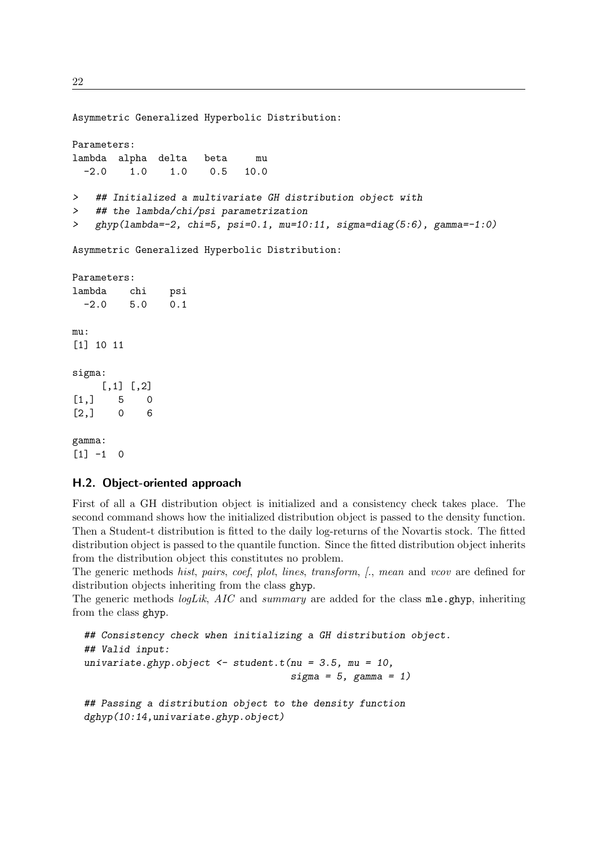22

Asymmetric Generalized Hyperbolic Distribution: Parameters: lambda alpha delta beta mu -2.0 1.0 1.0 0.5 10.0 > ## Initialized a multivariate GH distribution object with > ## the lambda/chi/psi parametrization > ghyp(lambda=-2, chi=5, psi=0.1, mu=10:11, sigma=diag(5:6), gamma=-1:0) Asymmetric Generalized Hyperbolic Distribution: Parameters: lambda chi psi -2.0 5.0 0.1 mu: [1] 10 11 sigma:  $[,1]$   $[,2]$  $[1,] 5 0$ [2,] 0 6 gamma:

 $[1] -1 0$ 

# <span id="page-22-0"></span>H.2. Object-oriented approach

First of all a GH distribution object is initialized and a consistency check takes place. The second command shows how the initialized distribution object is passed to the density function. Then a Student-t distribution is fitted to the daily log-returns of the Novartis stock. The fitted distribution object is passed to the quantile function. Since the fitted distribution object inherits from the distribution object this constitutes no problem.

The generic methods hist, pairs, coef, plot, lines, transform,  $\beta$ , mean and vcov are defined for distribution objects inheriting from the class ghyp.

The generic methods *logLik*,  $AIC$  and *summary* are added for the class  $m1e$ .ghyp, inheriting from the class ghyp.

## Consistency check when initializing a GH distribution object. ## Valid input: univariate.ghyp.object  $\leq$  student.t(nu = 3.5, mu = 10,  $sigma = 5$ , gamma = 1) ## Passing a distribution object to the density function dghyp(10:14,univariate.ghyp.object)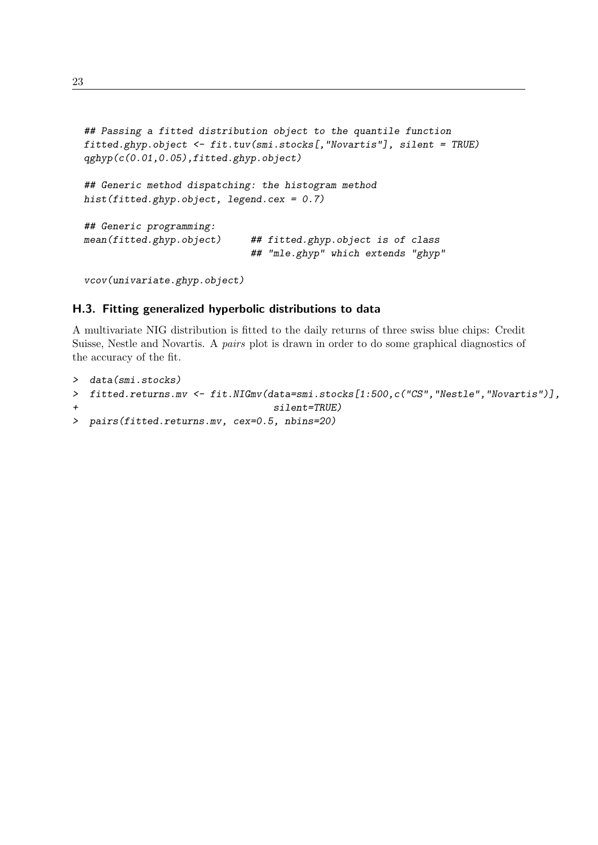```
## Passing a fitted distribution object to the quantile function
fitted.ghyp.object <- fit.tuv(smi.stocks[,"Novartis"], silent = TRUE)
qghyp(c(0.01,0.05),fitted.ghyp.object)
## Generic method dispatching: the histogram method
hist(fitted.ghyp.object, legend.cex = 0.7)
## Generic programming:
mean(fitted.ghyp.object) ## fitted.ghyp.object is of class
                             ## "mle.ghyp" which extends "ghyp"
```

```
vcov(univariate.ghyp.object)
```
### <span id="page-23-0"></span>H.3. Fitting generalized hyperbolic distributions to data

A multivariate NIG distribution is fitted to the daily returns of three swiss blue chips: Credit Suisse, Nestle and Novartis. A pairs plot is drawn in order to do some graphical diagnostics of the accuracy of the fit.

```
> data(smi.stocks)
> fitted.returns.mv <- fit.NIGmv(data=smi.stocks[1:500,c("CS","Nestle","Novartis")],
                                  silent=TRUE)
> pairs(fitted.returns.mv, cex=0.5, nbins=20)
```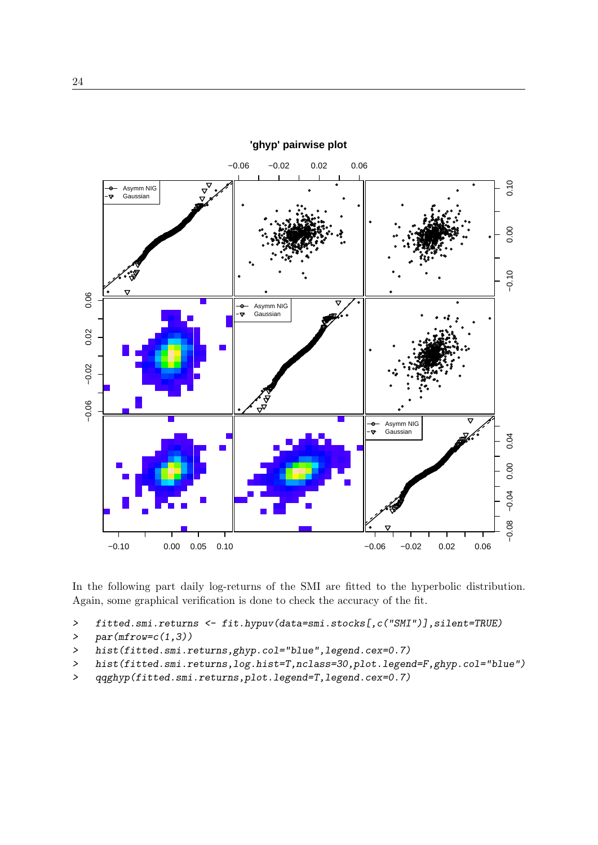

In the following part daily log-returns of the SMI are fitted to the hyperbolic distribution. Again, some graphical verification is done to check the accuracy of the fit.

- > fitted.smi.returns <- fit.hypuv(data=smi.stocks[,c("SMI")],silent=TRUE)
- >  $par(mfrow=c(1,3))$
- > hist(fitted.smi.returns,ghyp.col="blue",legend.cex=0.7)
- > hist(fitted.smi.returns,log.hist=T,nclass=30,plot.legend=F,ghyp.col="blue")
- > qqghyp(fitted.smi.returns,plot.legend=T,legend.cex=0.7)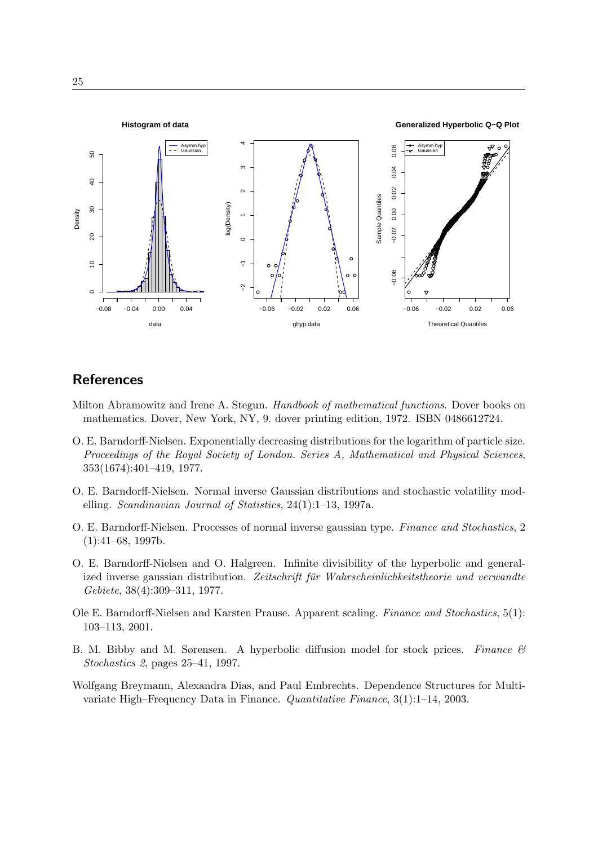

# **References**

- <span id="page-25-7"></span>Milton Abramowitz and Irene A. Stegun. Handbook of mathematical functions. Dover books on mathematics. Dover, New York, NY, 9. dover printing edition, 1972. ISBN 0486612724.
- <span id="page-25-0"></span>O. E. Barndorff-Nielsen. Exponentially decreasing distributions for the logarithm of particle size. Proceedings of the Royal Society of London. Series A, Mathematical and Physical Sciences, 353(1674):401–419, 1977.
- <span id="page-25-4"></span>O. E. Barndorff-Nielsen. Normal inverse Gaussian distributions and stochastic volatility modelling. Scandinavian Journal of Statistics, 24(1):1–13, 1997a.
- <span id="page-25-5"></span>O. E. Barndorff-Nielsen. Processes of normal inverse gaussian type. Finance and Stochastics, 2  $(1):41–68, 1997b.$
- <span id="page-25-1"></span>O. E. Barndorff-Nielsen and O. Halgreen. Infinite divisibility of the hyperbolic and generalized inverse gaussian distribution. Zeitschrift für Wahrscheinlichkeitstheorie und verwandte Gebiete, 38(4):309–311, 1977.
- <span id="page-25-2"></span>Ole E. Barndorff-Nielsen and Karsten Prause. Apparent scaling. Finance and Stochastics, 5(1): 103–113, 2001.
- <span id="page-25-6"></span>B. M. Bibby and M. Sørensen. A hyperbolic diffusion model for stock prices. Finance  $\mathcal{B}$ Stochastics 2, pages 25–41, 1997.
- <span id="page-25-3"></span>Wolfgang Breymann, Alexandra Dias, and Paul Embrechts. Dependence Structures for Multivariate High–Frequency Data in Finance. Quantitative Finance, 3(1):1–14, 2003.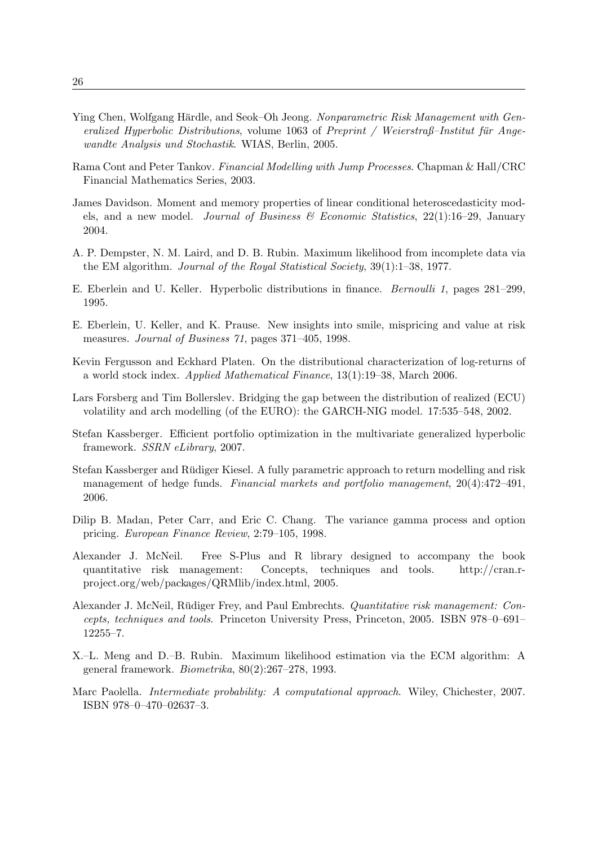- <span id="page-26-10"></span>Ying Chen, Wolfgang Härdle, and Seok–Oh Jeong. Nonparametric Risk Management with Generalized Hyperbolic Distributions, volume  $1063$  of Preprint / Weierstraß–Institut für Angewandte Analysis und Stochastik. WIAS, Berlin, 2005.
- <span id="page-26-13"></span>Rama Cont and Peter Tankov. Financial Modelling with Jump Processes. Chapman & Hall/CRC Financial Mathematics Series, 2003.
- <span id="page-26-7"></span>James Davidson. Moment and memory properties of linear conditional heteroscedasticity models, and a new model. Journal of Business  $\mathscr B$  Economic Statistics, 22(1):16–29, January 2004.
- <span id="page-26-3"></span>A. P. Dempster, N. M. Laird, and D. B. Rubin. Maximum likelihood from incomplete data via the EM algorithm. Journal of the Royal Statistical Society, 39(1):1–38, 1977.
- <span id="page-26-5"></span>E. Eberlein and U. Keller. Hyperbolic distributions in finance. Bernoulli 1, pages 281–299, 1995.
- <span id="page-26-9"></span>E. Eberlein, U. Keller, and K. Prause. New insights into smile, mispricing and value at risk measures. Journal of Business 71, pages 371–405, 1998.
- <span id="page-26-8"></span>Kevin Fergusson and Eckhard Platen. On the distributional characterization of log-returns of a world stock index. Applied Mathematical Finance, 13(1):19–38, March 2006.
- <span id="page-26-6"></span>Lars Forsberg and Tim Bollerslev. Bridging the gap between the distribution of realized (ECU) volatility and arch modelling (of the EURO): the GARCH-NIG model. 17:535–548, 2002.
- <span id="page-26-14"></span>Stefan Kassberger. Efficient portfolio optimization in the multivariate generalized hyperbolic framework. SSRN eLibrary, 2007.
- <span id="page-26-11"></span>Stefan Kassberger and Rüdiger Kiesel. A fully parametric approach to return modelling and risk management of hedge funds. Financial markets and portfolio management, 20(4):472–491, 2006.
- <span id="page-26-12"></span>Dilip B. Madan, Peter Carr, and Eric C. Chang. The variance gamma process and option pricing. European Finance Review, 2:79–105, 1998.
- <span id="page-26-0"></span>Alexander J. McNeil. Free S-Plus and R library designed to accompany the book quantitative risk management: Concepts, techniques and tools. http://cran.rproject.org/web/packages/QRMlib/index.html, 2005.
- <span id="page-26-2"></span>Alexander J. McNeil, Rüdiger Frey, and Paul Embrechts. Quantitative risk management: Concepts, techniques and tools. Princeton University Press, Princeton, 2005. ISBN 978–0–691– 12255–7.
- <span id="page-26-4"></span>X.–L. Meng and D.–B. Rubin. Maximum likelihood estimation via the ECM algorithm: A general framework. Biometrika, 80(2):267–278, 1993.
- <span id="page-26-1"></span>Marc Paolella. Intermediate probability: A computational approach. Wiley, Chichester, 2007. ISBN 978–0–470–02637–3.